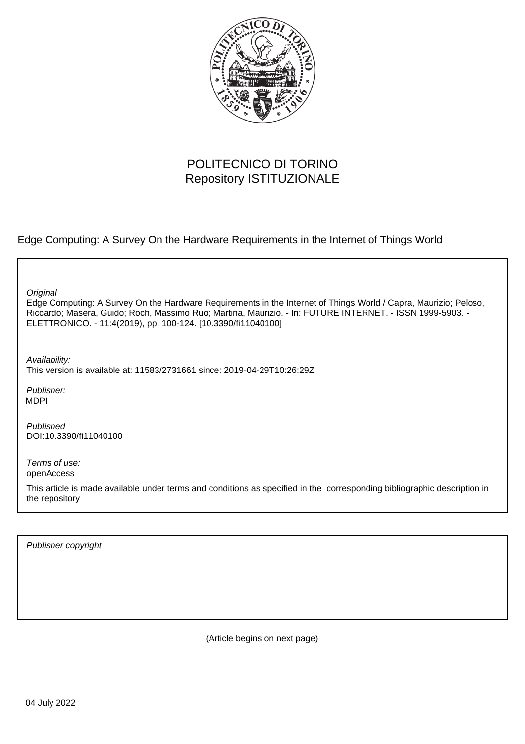

# POLITECNICO DI TORINO Repository ISTITUZIONALE

Edge Computing: A Survey On the Hardware Requirements in the Internet of Things World

**Original** 

Edge Computing: A Survey On the Hardware Requirements in the Internet of Things World / Capra, Maurizio; Peloso, Riccardo; Masera, Guido; Roch, Massimo Ruo; Martina, Maurizio. - In: FUTURE INTERNET. - ISSN 1999-5903. - ELETTRONICO. - 11:4(2019), pp. 100-124. [10.3390/fi11040100]

Availability: This version is available at: 11583/2731661 since: 2019-04-29T10:26:29Z

Publisher: MDPI

Published DOI:10.3390/fi11040100

Terms of use: openAccess

This article is made available under terms and conditions as specified in the corresponding bibliographic description in the repository

Publisher copyright

(Article begins on next page)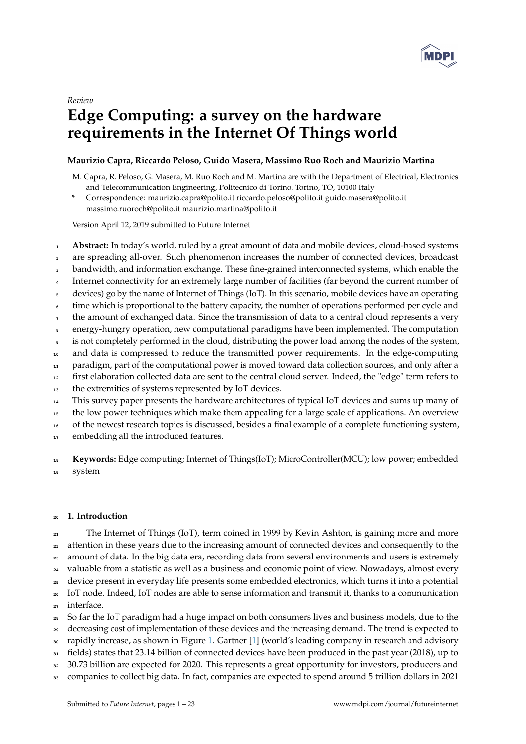

# *Review* **Edge Computing: a survey on the hardware requirements in the Internet Of Things world**

## **Maurizio Capra, Riccardo Peloso, Guido Masera, Massimo Ruo Roch and Maurizio Martina**

- M. Capra, R. Peloso, G. Masera, M. Ruo Roch and M. Martina are with the Department of Electrical, Electronics and Telecommunication Engineering, Politecnico di Torino, Torino, TO, 10100 Italy
- **\*** Correspondence: maurizio.capra@polito.it riccardo.peloso@polito.it guido.masera@polito.it massimo.ruoroch@polito.it maurizio.martina@polito.it

Version April 12, 2019 submitted to Future Internet

- <sup>1</sup> **Abstract:** In today's world, ruled by a great amount of data and mobile devices, cloud-based systems
- <sup>2</sup> are spreading all-over. Such phenomenon increases the number of connected devices, broadcast
- <sup>3</sup> bandwidth, and information exchange. These fine-grained interconnected systems, which enable the
- Internet connectivity for an extremely large number of facilities (far beyond the current number of
- <sup>5</sup> devices) go by the name of Internet of Things (IoT). In this scenario, mobile devices have an operating
- <sup>6</sup> time which is proportional to the battery capacity, the number of operations performed per cycle and
- <sup>7</sup> the amount of exchanged data. Since the transmission of data to a central cloud represents a very
- <sup>8</sup> energy-hungry operation, new computational paradigms have been implemented. The computation
- is not completely performed in the cloud, distributing the power load among the nodes of the system,
- <sup>10</sup> and data is compressed to reduce the transmitted power requirements. In the edge-computing
- <sup>11</sup> paradigm, part of the computational power is moved toward data collection sources, and only after a
- <sup>12</sup> first elaboration collected data are sent to the central cloud server. Indeed, the "edge" term refers to
- <sup>13</sup> the extremities of systems represented by IoT devices.
- <sup>14</sup> This survey paper presents the hardware architectures of typical IoT devices and sums up many of
- <sup>15</sup> the low power techniques which make them appealing for a large scale of applications. An overview
- <sup>16</sup> of the newest research topics is discussed, besides a final example of a complete functioning system,
- 17 embedding all the introduced features.

<sup>18</sup> **Keywords:** Edge computing; Internet of Things(IoT); MicroController(MCU); low power; embedded <sup>19</sup> system

## <sup>20</sup> **1. Introduction**

<sup>21</sup> The Internet of Things (IoT), term coined in 1999 by Kevin Ashton, is gaining more and more <sup>22</sup> attention in these years due to the increasing amount of connected devices and consequently to the amount of data. In the big data era, recording data from several environments and users is extremely valuable from a statistic as well as a business and economic point of view. Nowadays, almost every device present in everyday life presents some embedded electronics, which turns it into a potential IoT node. Indeed, IoT nodes are able to sense information and transmit it, thanks to a communication interface. So far the IoT paradigm had a huge impact on both consumers lives and business models, due to the

- <sup>29</sup> decreasing cost of implementation of these devices and the increasing demand. The trend is expected to
- <sup>30</sup> rapidly increase, as shown in Figure 1. Gartner [1] (world's leading company in research and advisory
- <sup>31</sup> fields) states that 23.14 billion of connected devices have been produced in the past year (2018), up to
- 32 30.73 billion are expected for 2020. This represents a great opportunity for investors, producers and
- <sup>33</sup> companies to collect big data. In fact, companies are expected to spend around 5 trillion dollars in 2021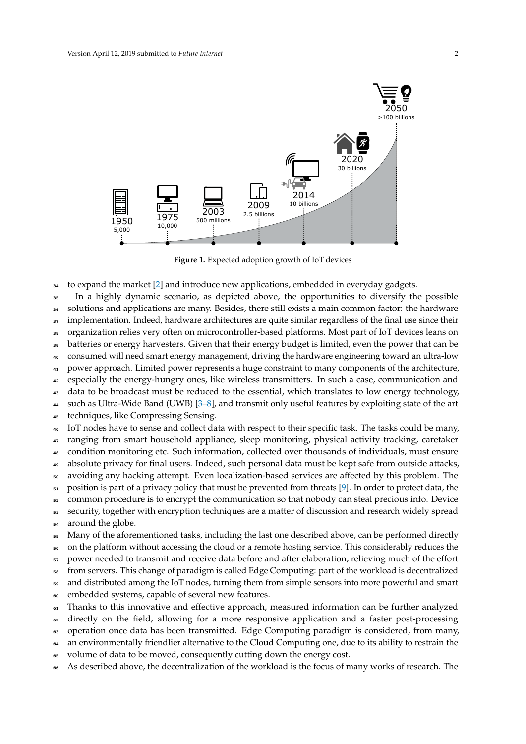

**Figure 1.** Expected adoption growth of IoT devices

- to expand the market [2] and introduce new applications, embedded in everyday gadgets.
- In a highly dynamic scenario, as depicted above, the opportunities to diversify the possible
- solutions and applications are many. Besides, there still exists a main common factor: the hardware
- <sup>37</sup> implementation. Indeed, hardware architectures are quite similar regardless of the final use since their
- organization relies very often on microcontroller-based platforms. Most part of IoT devices leans on
- batteries or energy harvesters. Given that their energy budget is limited, even the power that can be
- consumed will need smart energy management, driving the hardware engineering toward an ultra-low <sup>41</sup> power approach. Limited power represents a huge constraint to many components of the architecture,
- especially the energy-hungry ones, like wireless transmitters. In such a case, communication and
- data to be broadcast must be reduced to the essential, which translates to low energy technology,
- such as Ultra-Wide Band (UWB) [3–8], and transmit only useful features by exploiting state of the art
- techniques, like Compressing Sensing.
- IoT nodes have to sense and collect data with respect to their specific task. The tasks could be many,
- <sub>47</sub> ranging from smart household appliance, sleep monitoring, physical activity tracking, caretaker
- condition monitoring etc. Such information, collected over thousands of individuals, must ensure
- absolute privacy for final users. Indeed, such personal data must be kept safe from outside attacks,
- avoiding any hacking attempt. Even localization-based services are affected by this problem. The
- position is part of a privacy policy that must be prevented from threats [9]. In order to protect data, the
- <sup>52</sup> common procedure is to encrypt the communication so that nobody can steal precious info. Device
- security, together with encryption techniques are a matter of discussion and research widely spread
- around the globe.
- Many of the aforementioned tasks, including the last one described above, can be performed directly on the platform without accessing the cloud or a remote hosting service. This considerably reduces the
- power needed to transmit and receive data before and after elaboration, relieving much of the effort
- from servers. This change of paradigm is called Edge Computing: part of the workload is decentralized
- and distributed among the IoT nodes, turning them from simple sensors into more powerful and smart
- embedded systems, capable of several new features.
- Thanks to this innovative and effective approach, measured information can be further analyzed
- <sup>62</sup> directly on the field, allowing for a more responsive application and a faster post-processing
- operation once data has been transmitted. Edge Computing paradigm is considered, from many,
- an environmentally friendlier alternative to the Cloud Computing one, due to its ability to restrain the
- volume of data to be moved, consequently cutting down the energy cost.
- As described above, the decentralization of the workload is the focus of many works of research. The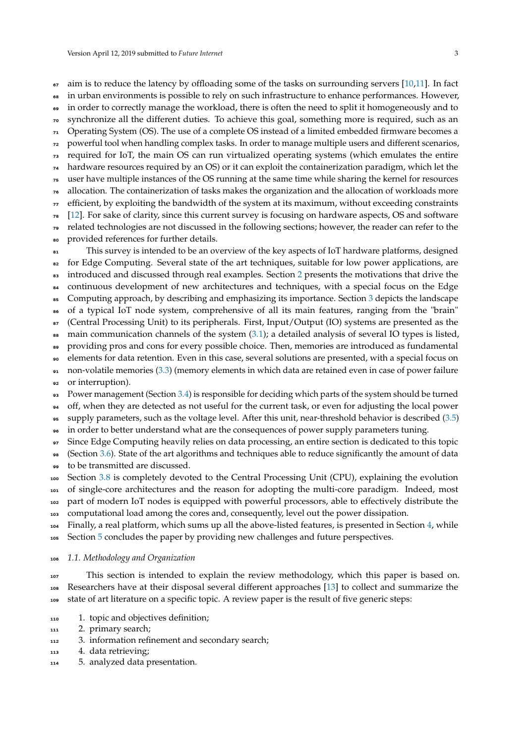<sup>67</sup> aim is to reduce the latency by offloading some of the tasks on surrounding servers [10,11]. In fact in urban environments is possible to rely on such infrastructure to enhance performances. However, in order to correctly manage the workload, there is often the need to split it homogeneously and to synchronize all the different duties. To achieve this goal, something more is required, such as an Operating System (OS). The use of a complete OS instead of a limited embedded firmware becomes a powerful tool when handling complex tasks. In order to manage multiple users and different scenarios, required for IoT, the main OS can run virtualized operating systems (which emulates the entire hardware resources required by an OS) or it can exploit the containerization paradigm, which let the user have multiple instances of the OS running at the same time while sharing the kernel for resources allocation. The containerization of tasks makes the organization and the allocation of workloads more <sup>77</sup> efficient, by exploiting the bandwidth of the system at its maximum, without exceeding constraints [12]. For sake of clarity, since this current survey is focusing on hardware aspects, OS and software related technologies are not discussed in the following sections; however, the reader can refer to the provided references for further details. 81 This survey is intended to be an overview of the key aspects of IoT hardware platforms, designed <sup>82</sup> for Edge Computing. Several state of the art techniques, suitable for low power applications, are

83 introduced and discussed through real examples. Section 2 presents the motivations that drive the continuous development of new architectures and techniques, with a special focus on the Edge Computing approach, by describing and emphasizing its importance. Section 3 depicts the landscape of a typical IoT node system, comprehensive of all its main features, ranging from the "brain" 87 (Central Processing Unit) to its peripherals. First, Input/Output (IO) systems are presented as the 88 main communication channels of the system (3.1); a detailed analysis of several IO types is listed, providing pros and cons for every possible choice. Then, memories are introduced as fundamental elements for data retention. Even in this case, several solutions are presented, with a special focus on

- non-volatile memories (3.3) (memory elements in which data are retained even in case of power failure or interruption).
- Power management (Section 3.4) is responsible for deciding which parts of the system should be turned
- off, when they are detected as not useful for the current task, or even for adjusting the local power
- supply parameters, such as the voltage level. After this unit, near-threshold behavior is described (3.5)
- in order to better understand what are the consequences of power supply parameters tuning.
- Since Edge Computing heavily relies on data processing, an entire section is dedicated to this topic
- (Section 3.6). State of the art algorithms and techniques able to reduce significantly the amount of data
- to be transmitted are discussed.

Section 3.8 is completely devoted to the Central Processing Unit (CPU), explaining the evolution

- of single-core architectures and the reason for adopting the multi-core paradigm. Indeed, most part of modern IoT nodes is equipped with powerful processors, able to effectively distribute the
- computational load among the cores and, consequently, level out the power dissipation.
- Finally, a real platform, which sums up all the above-listed features, is presented in Section 4, while Section 5 concludes the paper by providing new challenges and future perspectives.

#### *1.1. Methodology and Organization*

 This section is intended to explain the review methodology, which this paper is based on. Researchers have at their disposal several different approaches [13] to collect and summarize the 109 state of art literature on a specific topic. A review paper is the result of five generic steps:

- 110 1. topic and objectives definition;
- 2. primary search;
- 112 3. information refinement and secondary search;
- 4. data retrieving;
- 5. analyzed data presentation.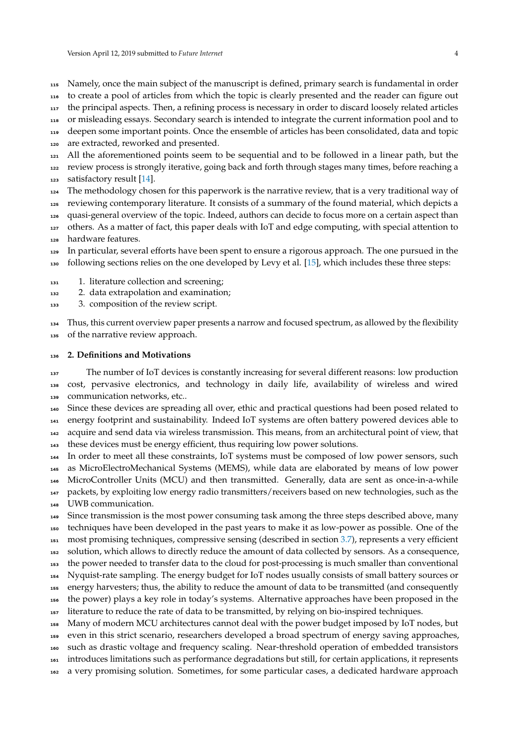- Namely, once the main subject of the manuscript is defined, primary search is fundamental in order
- to create a pool of articles from which the topic is clearly presented and the reader can figure out
- <sub>117</sub> the principal aspects. Then, a refining process is necessary in order to discard loosely related articles
- or misleading essays. Secondary search is intended to integrate the current information pool and to
- deepen some important points. Once the ensemble of articles has been consolidated, data and topic are extracted, reworked and presented.
- All the aforementioned points seem to be sequential and to be followed in a linear path, but the
- 122 review process is strongly iterative, going back and forth through stages many times, before reaching a satisfactory result [14].
- <sub>124</sub> The methodology chosen for this paperwork is the narrative review, that is a very traditional way of
- reviewing contemporary literature. It consists of a summary of the found material, which depicts a quasi-general overview of the topic. Indeed, authors can decide to focus more on a certain aspect than
- others. As a matter of fact, this paper deals with IoT and edge computing, with special attention to
- hardware features.
- In particular, several efforts have been spent to ensure a rigorous approach. The one pursued in the following sections relies on the one developed by Levy et al. [15], which includes these three steps:
- 1. literature collection and screening;
- 2. data extrapolation and examination;
- 3. composition of the review script.

 Thus, this current overview paper presents a narrow and focused spectrum, as allowed by the flexibility of the narrative review approach.

#### **2. Definitions and Motivations**

 The number of IoT devices is constantly increasing for several different reasons: low production cost, pervasive electronics, and technology in daily life, availability of wireless and wired communication networks, etc..

 Since these devices are spreading all over, ethic and practical questions had been posed related to energy footprint and sustainability. Indeed IoT systems are often battery powered devices able to acquire and send data via wireless transmission. This means, from an architectural point of view, that these devices must be energy efficient, thus requiring low power solutions.

 In order to meet all these constraints, IoT systems must be composed of low power sensors, such as MicroElectroMechanical Systems (MEMS), while data are elaborated by means of low power MicroController Units (MCU) and then transmitted. Generally, data are sent as once-in-a-while packets, by exploiting low energy radio transmitters/receivers based on new technologies, such as the

UWB communication.

 Since transmission is the most power consuming task among the three steps described above, many techniques have been developed in the past years to make it as low-power as possible. One of the most promising techniques, compressive sensing (described in section 3.7), represents a very efficient

solution, which allows to directly reduce the amount of data collected by sensors. As a consequence,

 the power needed to transfer data to the cloud for post-processing is much smaller than conventional Nyquist-rate sampling. The energy budget for IoT nodes usually consists of small battery sources or

energy harvesters; thus, the ability to reduce the amount of data to be transmitted (and consequently

the power) plays a key role in today's systems. Alternative approaches have been proposed in the

literature to reduce the rate of data to be transmitted, by relying on bio-inspired techniques.

Many of modern MCU architectures cannot deal with the power budget imposed by IoT nodes, but

even in this strict scenario, researchers developed a broad spectrum of energy saving approaches,

such as drastic voltage and frequency scaling. Near-threshold operation of embedded transistors

 introduces limitations such as performance degradations but still, for certain applications, it represents a very promising solution. Sometimes, for some particular cases, a dedicated hardware approach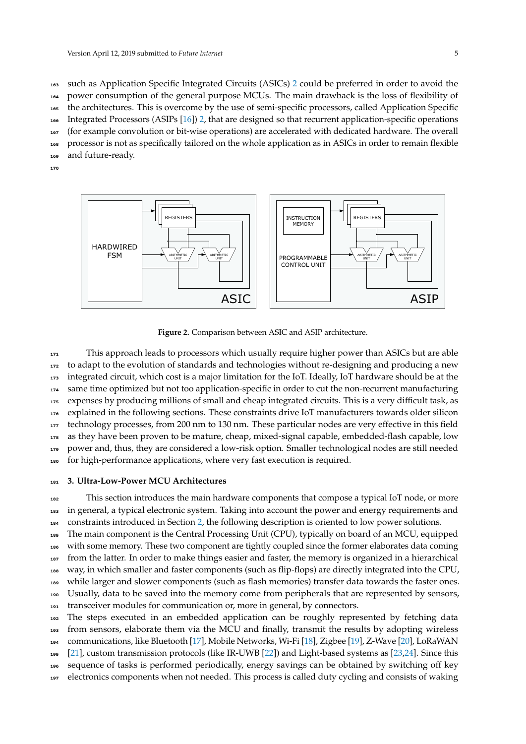such as Application Specific Integrated Circuits (ASICs) 2 could be preferred in order to avoid the power consumption of the general purpose MCUs. The main drawback is the loss of flexibility of the architectures. This is overcome by the use of semi-specific processors, called Application Specific Integrated Processors (ASIPs [16]) 2, that are designed so that recurrent application-specific operations (for example convolution or bit-wise operations) are accelerated with dedicated hardware. The overall processor is not as specifically tailored on the whole application as in ASICs in order to remain flexible and future-ready.





**Figure 2.** Comparison between ASIC and ASIP architecture.

 This approach leads to processors which usually require higher power than ASICs but are able 172 to adapt to the evolution of standards and technologies without re-designing and producing a new integrated circuit, which cost is a major limitation for the IoT. Ideally, IoT hardware should be at the same time optimized but not too application-specific in order to cut the non-recurrent manufacturing expenses by producing millions of small and cheap integrated circuits. This is a very difficult task, as explained in the following sections. These constraints drive IoT manufacturers towards older silicon technology processes, from 200 nm to 130 nm. These particular nodes are very effective in this field as they have been proven to be mature, cheap, mixed-signal capable, embedded-flash capable, low power and, thus, they are considered a low-risk option. Smaller technological nodes are still needed for high-performance applications, where very fast execution is required.

#### **3. Ultra-Low-Power MCU Architectures**

 This section introduces the main hardware components that compose a typical IoT node, or more in general, a typical electronic system. Taking into account the power and energy requirements and constraints introduced in Section 2, the following description is oriented to low power solutions.

 The main component is the Central Processing Unit (CPU), typically on board of an MCU, equipped with some memory. These two component are tightly coupled since the former elaborates data coming from the latter. In order to make things easier and faster, the memory is organized in a hierarchical way, in which smaller and faster components (such as flip-flops) are directly integrated into the CPU, while larger and slower components (such as flash memories) transfer data towards the faster ones. Usually, data to be saved into the memory come from peripherals that are represented by sensors, transceiver modules for communication or, more in general, by connectors.

 The steps executed in an embedded application can be roughly represented by fetching data from sensors, elaborate them via the MCU and finally, transmit the results by adopting wireless communications, like Bluetooth [17], Mobile Networks, Wi-Fi [18], Zigbee [19], Z-Wave [20], LoRaWAN [21], custom transmission protocols (like IR-UWB [22]) and Light-based systems as [23,24]. Since this sequence of tasks is performed periodically, energy savings can be obtained by switching off key electronics components when not needed. This process is called duty cycling and consists of waking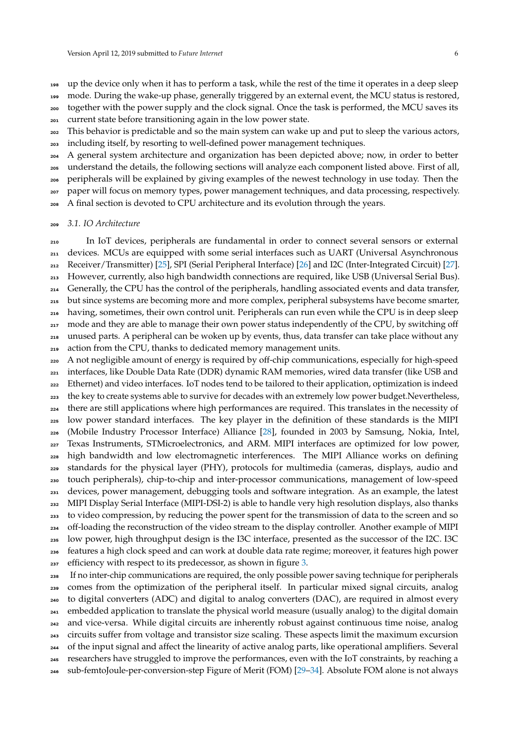up the device only when it has to perform a task, while the rest of the time it operates in a deep sleep mode. During the wake-up phase, generally triggered by an external event, the MCU status is restored, together with the power supply and the clock signal. Once the task is performed, the MCU saves its

current state before transitioning again in the low power state.

- This behavior is predictable and so the main system can wake up and put to sleep the various actors,
- including itself, by resorting to well-defined power management techniques.
- A general system architecture and organization has been depicted above; now, in order to better
- understand the details, the following sections will analyze each component listed above. First of all,
- peripherals will be explained by giving examples of the newest technology in use today. Then the
- paper will focus on memory types, power management techniques, and data processing, respectively.
- A final section is devoted to CPU architecture and its evolution through the years.

### *3.1. IO Architecture*

 In IoT devices, peripherals are fundamental in order to connect several sensors or external devices. MCUs are equipped with some serial interfaces such as UART (Universal Asynchronous Receiver/Transmitter) [25], SPI (Serial Peripheral Interface) [26] and I2C (Inter-Integrated Circuit) [27]. However, currently, also high bandwidth connections are required, like USB (Universal Serial Bus). Generally, the CPU has the control of the peripherals, handling associated events and data transfer, but since systems are becoming more and more complex, peripheral subsystems have become smarter, having, sometimes, their own control unit. Peripherals can run even while the CPU is in deep sleep <sub>217</sub> mode and they are able to manage their own power status independently of the CPU, by switching off unused parts. A peripheral can be woken up by events, thus, data transfer can take place without any action from the CPU, thanks to dedicated memory management units.

 A not negligible amount of energy is required by off-chip communications, especially for high-speed interfaces, like Double Data Rate (DDR) dynamic RAM memories, wired data transfer (like USB and Ethernet) and video interfaces. IoT nodes tend to be tailored to their application, optimization is indeed <sub>223</sub> the key to create systems able to survive for decades with an extremely low power budget.Nevertheless, there are still applications where high performances are required. This translates in the necessity of low power standard interfaces. The key player in the definition of these standards is the MIPI (Mobile Industry Processor Interface) Alliance [28], founded in 2003 by Samsung, Nokia, Intel, Texas Instruments, STMicroelectronics, and ARM. MIPI interfaces are optimized for low power, high bandwidth and low electromagnetic interferences. The MIPI Alliance works on defining standards for the physical layer (PHY), protocols for multimedia (cameras, displays, audio and touch peripherals), chip-to-chip and inter-processor communications, management of low-speed devices, power management, debugging tools and software integration. As an example, the latest MIPI Display Serial Interface (MIPI-DSI-2) is able to handle very high resolution displays, also thanks to video compression, by reducing the power spent for the transmission of data to the screen and so off-loading the reconstruction of the video stream to the display controller. Another example of MIPI low power, high throughput design is the I3C interface, presented as the successor of the I2C. I3C features a high clock speed and can work at double data rate regime; moreover, it features high power 237 efficiency with respect to its predecessor, as shown in figure 3. If no inter-chip communications are required, the only possible power saving technique for peripherals

 comes from the optimization of the peripheral itself. In particular mixed signal circuits, analog to digital converters (ADC) and digital to analog converters (DAC), are required in almost every embedded application to translate the physical world measure (usually analog) to the digital domain and vice-versa. While digital circuits are inherently robust against continuous time noise, analog circuits suffer from voltage and transistor size scaling. These aspects limit the maximum excursion of the input signal and affect the linearity of active analog parts, like operational amplifiers. Several researchers have struggled to improve the performances, even with the IoT constraints, by reaching a sub-femtoJoule-per-conversion-step Figure of Merit (FOM) [29–34]. Absolute FOM alone is not always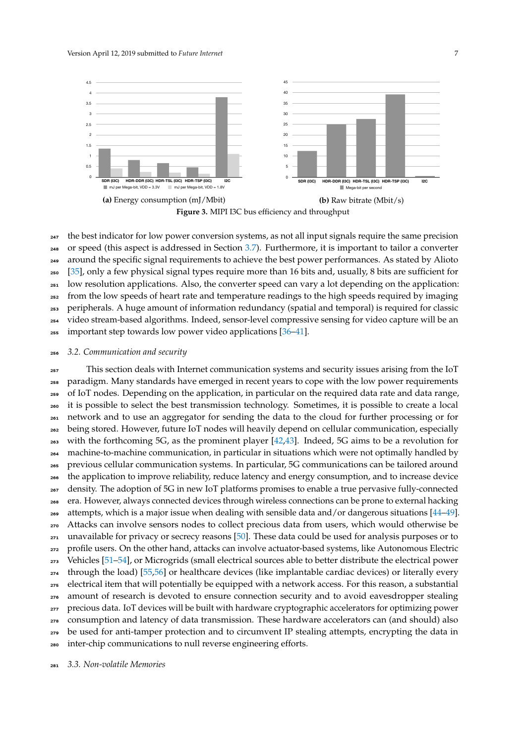

<sup>247</sup> the best indicator for low power conversion systems, as not all input signals require the same precision or speed (this aspect is addressed in Section 3.7). Furthermore, it is important to tailor a converter around the specific signal requirements to achieve the best power performances. As stated by Alioto [35], only a few physical signal types require more than 16 bits and, usually, 8 bits are sufficient for low resolution applications. Also, the converter speed can vary a lot depending on the application: <sub>252</sub> from the low speeds of heart rate and temperature readings to the high speeds required by imaging peripherals. A huge amount of information redundancy (spatial and temporal) is required for classic video stream-based algorithms. Indeed, sensor-level compressive sensing for video capture will be an important step towards low power video applications [36–41].

#### *3.2. Communication and security*

 This section deals with Internet communication systems and security issues arising from the IoT paradigm. Many standards have emerged in recent years to cope with the low power requirements of IoT nodes. Depending on the application, in particular on the required data rate and data range, it is possible to select the best transmission technology. Sometimes, it is possible to create a local network and to use an aggregator for sending the data to the cloud for further processing or for being stored. However, future IoT nodes will heavily depend on cellular communication, especially with the forthcoming 5G, as the prominent player [42,43]. Indeed, 5G aims to be a revolution for machine-to-machine communication, in particular in situations which were not optimally handled by previous cellular communication systems. In particular, 5G communications can be tailored around the application to improve reliability, reduce latency and energy consumption, and to increase device density. The adoption of 5G in new IoT platforms promises to enable a true pervasive fully-connected era. However, always connected devices through wireless connections can be prone to external hacking attempts, which is a major issue when dealing with sensible data and/or dangerous situations [44–49]. Attacks can involve sensors nodes to collect precious data from users, which would otherwise be unavailable for privacy or secrecy reasons [50]. These data could be used for analysis purposes or to profile users. On the other hand, attacks can involve actuator-based systems, like Autonomous Electric Vehicles [51–54], or Microgrids (small electrical sources able to better distribute the electrical power through the load) [55,56] or healthcare devices (like implantable cardiac devices) or literally every electrical item that will potentially be equipped with a network access. For this reason, a substantial amount of research is devoted to ensure connection security and to avoid eavesdropper stealing precious data. IoT devices will be built with hardware cryptographic accelerators for optimizing power consumption and latency of data transmission. These hardware accelerators can (and should) also <sub>279</sub> be used for anti-tamper protection and to circumvent IP stealing attempts, encrypting the data in inter-chip communications to null reverse engineering efforts.

*3.3. Non-volatile Memories*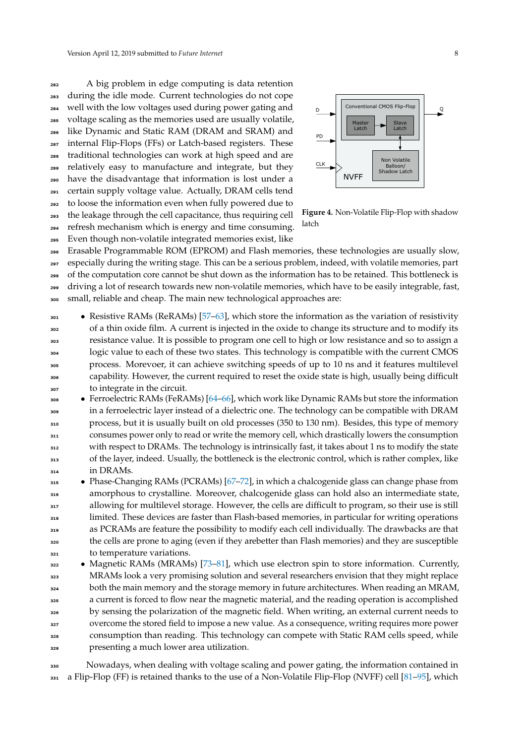A big problem in edge computing is data retention during the idle mode. Current technologies do not cope well with the low voltages used during power gating and voltage scaling as the memories used are usually volatile, like Dynamic and Static RAM (DRAM and SRAM) and internal Flip-Flops (FFs) or Latch-based registers. These traditional technologies can work at high speed and are relatively easy to manufacture and integrate, but they have the disadvantage that information is lost under a certain supply voltage value. Actually, DRAM cells tend to loose the information even when fully powered due to the leakage through the cell capacitance, thus requiring cell refresh mechanism which is energy and time consuming. Even though non-volatile integrated memories exist, like



**Figure 4.** Non-Volatile Flip-Flop with shadow latch

 Erasable Programmable ROM (EPROM) and Flash memories, these technologies are usually slow, especially during the writing stage. This can be a serious problem, indeed, with volatile memories, part of the computation core cannot be shut down as the information has to be retained. This bottleneck is driving a lot of research towards new non-volatile memories, which have to be easily integrable, fast, small, reliable and cheap. The main new technological approaches are:

- Resistive RAMs (ReRAMs) [57–63], which store the information as the variation of resistivity <sup>302</sup> of a thin oxide film. A current is injected in the oxide to change its structure and to modify its resistance value. It is possible to program one cell to high or low resistance and so to assign a <sup>304</sup> logic value to each of these two states. This technology is compatible with the current CMOS <sup>305</sup> process. Morevoer, it can achieve switching speeds of up to 10 ns and it features multilevel capability. However, the current required to reset the oxide state is high, usually being difficult to integrate in the circuit.
- Ferroelectric RAMs (FeRAMs)  $[64–66]$ , which work like Dynamic RAMs but store the information in a ferroelectric layer instead of a dielectric one. The technology can be compatible with DRAM <sup>310</sup> process, but it is usually built on old processes (350 to 130 nm). Besides, this type of memory <sup>311</sup> consumes power only to read or write the memory cell, which drastically lowers the consumption <sup>312</sup> with respect to DRAMs. The technology is intrinsically fast, it takes about 1 ns to modify the state <sup>313</sup> of the layer, indeed. Usually, the bottleneck is the electronic control, which is rather complex, like in DRAMs.
- <sup>315</sup> Phase-Changing RAMs (PCRAMs) [67–72], in which a chalcogenide glass can change phase from <sup>316</sup> amorphous to crystalline. Moreover, chalcogenide glass can hold also an intermediate state, <sup>317</sup> allowing for multilevel storage. However, the cells are difficult to program, so their use is still <sup>318</sup> limited. These devices are faster than Flash-based memories, in particular for writing operations as PCRAMs are feature the possibility to modify each cell individually. The drawbacks are that <sup>320</sup> the cells are prone to aging (even if they arebetter than Flash memories) and they are susceptible <sup>321</sup> to temperature variations.
- Magnetic RAMs (MRAMs) [73-81], which use electron spin to store information. Currently, <sup>323</sup> MRAMs look a very promising solution and several researchers envision that they might replace <sup>324</sup> both the main memory and the storage memory in future architectures. When reading an MRAM, <sup>325</sup> a current is forced to flow near the magnetic material, and the reading operation is accomplished by sensing the polarization of the magnetic field. When writing, an external current needs to <sup>327</sup> overcome the stored field to impose a new value. As a consequence, writing requires more power <sup>328</sup> consumption than reading. This technology can compete with Static RAM cells speed, while <sup>329</sup> presenting a much lower area utilization.
- <sup>330</sup> Nowadays, when dealing with voltage scaling and power gating, the information contained in 331 a Flip-Flop (FF) is retained thanks to the use of a Non-Volatile Flip-Flop (NVFF) cell [81–95], which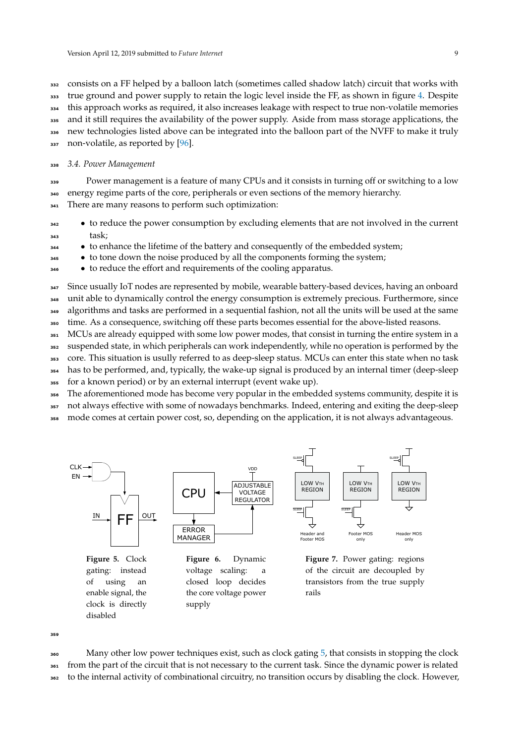consists on a FF helped by a balloon latch (sometimes called shadow latch) circuit that works with <sub>333</sub> true ground and power supply to retain the logic level inside the FF, as shown in figure 4. Despite this approach works as required, it also increases leakage with respect to true non-volatile memories and it still requires the availability of the power supply. Aside from mass storage applications, the new technologies listed above can be integrated into the balloon part of the NVFF to make it truly 337 non-volatile, as reported by [96].

#### <sup>338</sup> *3.4. Power Management*

<sup>339</sup> Power management is a feature of many CPUs and it consists in turning off or switching to a low <sup>340</sup> energy regime parts of the core, peripherals or even sections of the memory hierarchy.

<sup>341</sup> There are many reasons to perform such optimization:

<sup>342</sup> • to reduce the power consumption by excluding elements that are not involved in the current <sup>343</sup> task;

• to enhance the lifetime of the battery and consequently of the embedded system;

• to tone down the noise produced by all the components forming the system;

**346** • to reduce the effort and requirements of the cooling apparatus.

<sup>347</sup> Since usually IoT nodes are represented by mobile, wearable battery-based devices, having an onboard unit able to dynamically control the energy consumption is extremely precious. Furthermore, since algorithms and tasks are performed in a sequential fashion, not all the units will be used at the same time. As a consequence, switching off these parts becomes essential for the above-listed reasons.

351 MCUs are already equipped with some low power modes, that consist in turning the entire system in a

<sup>352</sup> suspended state, in which peripherals can work independently, while no operation is performed by the

<sup>353</sup> core. This situation is usully referred to as deep-sleep status. MCUs can enter this state when no task

<sup>354</sup> has to be performed, and, typically, the wake-up signal is produced by an internal timer (deep-sleep

<sup>355</sup> for a known period) or by an external interrupt (event wake up).

<sup>356</sup> The aforementioned mode has become very popular in the embedded systems community, despite it is

<sup>357</sup> not always effective with some of nowadays benchmarks. Indeed, entering and exiting the deep-sleep

mode comes at certain power cost, so, depending on the application, it is not always advantageous.



the core voltage power

of the circuit are decoupled by transistors from the true supply rails

**350** 

enable signal, the clock is directly

<sup>360</sup> Many other low power techniques exist, such as clock gating 5, that consists in stopping the clock <sup>361</sup> from the part of the circuit that is not necessary to the current task. Since the dynamic power is related <sup>362</sup> to the internal activity of combinational circuitry, no transition occurs by disabling the clock. However,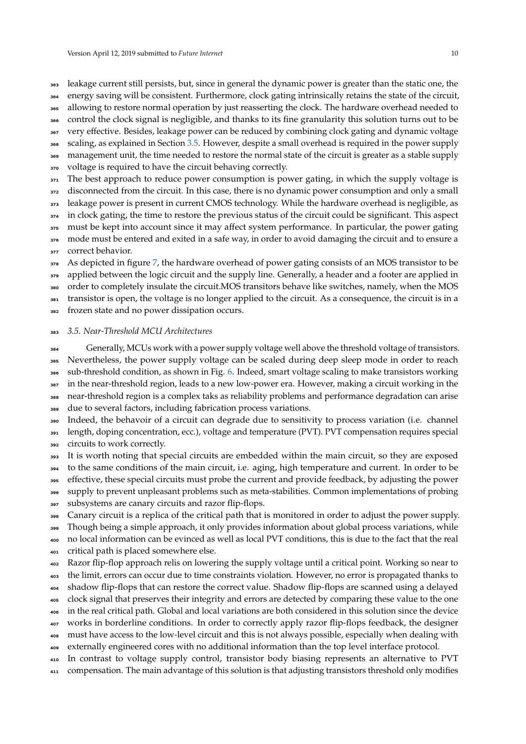leakage current still persists, but, since in general the dynamic power is greater than the static one, the energy saving will be consistent. Furthermore, clock gating intrinsically retains the state of the circuit, allowing to restore normal operation by just reasserting the clock. The hardware overhead needed to control the clock signal is negligible, and thanks to its fine granularity this solution turns out to be 367 very effective. Besides, leakage power can be reduced by combining clock gating and dynamic voltage scaling, as explained in Section 3.5. However, despite a small overhead is required in the power supply management unit, the time needed to restore the normal state of the circuit is greater as a stable supply 370 voltage is required to have the circuit behaving correctly.

<sup>371</sup> The best approach to reduce power consumption is power gating, in which the supply voltage is 372 disconnected from the circuit. In this case, there is no dynamic power consumption and only a small leakage power is present in current CMOS technology. While the hardware overhead is negligible, as in clock gating, the time to restore the previous status of the circuit could be significant. This aspect must be kept into account since it may affect system performance. In particular, the power gating 376 mode must be entered and exited in a safe way, in order to avoid damaging the circuit and to ensure a 377 correct behavior.

378 As depicted in figure 7, the hardware overhead of power gating consists of an MOS transistor to be 379 applied between the logic circuit and the supply line. Generally, a header and a footer are applied in order to completely insulate the circuit.MOS transitors behave like switches, namely, when the MOS transistor is open, the voltage is no longer applied to the circuit. As a consequence, the circuit is in a frozen state and no power dissipation occurs.

#### *3.5. Near-Threshold MCU Architectures*

Generally, MCUs work with a power supply voltage well above the threshold voltage of transistors. Nevertheless, the power supply voltage can be scaled during deep sleep mode in order to reach sub-threshold condition, as shown in Fig. 6. Indeed, smart voltage scaling to make transistors working 387 in the near-threshold region, leads to a new low-power era. However, making a circuit working in the near-threshold region is a complex taks as reliability problems and performance degradation can arise due to several factors, including fabrication process variations.

 Indeed, the behavoir of a circuit can degrade due to sensitivity to process variation (i.e. channel length, doping concentration, ecc.), voltage and temperature (PVT). PVT compensation requires special circuits to work correctly.

 It is worth noting that special circuits are embedded within the main circuit, so they are exposed to the same conditions of the main circuit, i.e. aging, high temperature and current. In order to be effective, these special circuits must probe the current and provide feedback, by adjusting the power supply to prevent unpleasant problems such as meta-stabilities. Common implementations of probing

subsystems are canary circuits and razor flip-flops.

 Canary circuit is a replica of the critical path that is monitored in order to adjust the power supply. <sup>399</sup> Though being a simple approach, it only provides information about global process variations, while no local information can be evinced as well as local PVT conditions, this is due to the fact that the real

401 critical path is placed somewhere else.

 Razor flip-flop approach relis on lowering the supply voltage until a critical point. Working so near to the limit, errors can occur due to time constraints violation. However, no error is propagated thanks to

shadow flip-flops that can restore the correct value. Shadow flip-flops are scanned using a delayed

clock signal that preserves their integrity and errors are detected by comparing these value to the one

in the real critical path. Global and local variations are both considered in this solution since the device

works in borderline conditions. In order to correctly apply razor flip-flops feedback, the designer

must have access to the low-level circuit and this is not always possible, especially when dealing with

externally engineered cores with no additional information than the top level interface protocol.

In contrast to voltage supply control, transistor body biasing represents an alternative to PVT

compensation. The main advantage of this solution is that adjusting transistors threshold only modifies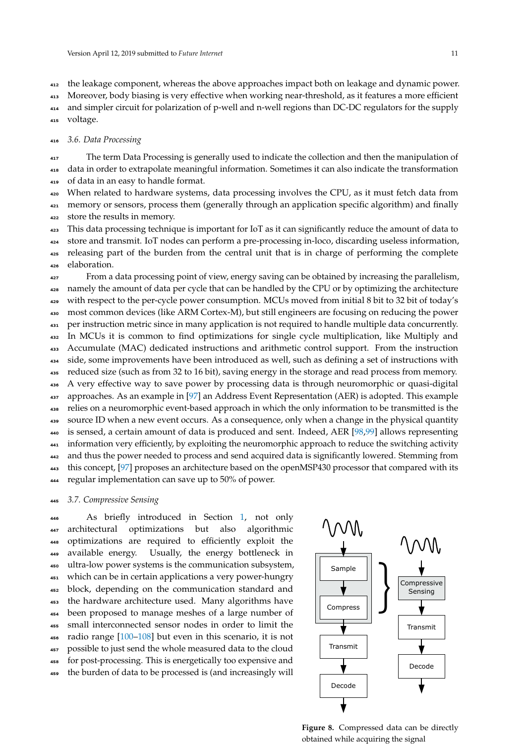the leakage component, whereas the above approaches impact both on leakage and dynamic power. Moreover, body biasing is very effective when working near-threshold, as it features a more efficient and simpler circuit for polarization of p-well and n-well regions than DC-DC regulators for the supply voltage.

### *3.6. Data Processing*

<sup>417</sup> The term Data Processing is generally used to indicate the collection and then the manipulation of data in order to extrapolate meaningful information. Sometimes it can also indicate the transformation of data in an easy to handle format.

 When related to hardware systems, data processing involves the CPU, as it must fetch data from memory or sensors, process them (generally through an application specific algorithm) and finally store the results in memory.

 This data processing technique is important for IoT as it can significantly reduce the amount of data to store and transmit. IoT nodes can perform a pre-processing in-loco, discarding useless information, releasing part of the burden from the central unit that is in charge of performing the complete elaboration.

From a data processing point of view, energy saving can be obtained by increasing the parallelism, namely the amount of data per cycle that can be handled by the CPU or by optimizing the architecture with respect to the per-cycle power consumption. MCUs moved from initial 8 bit to 32 bit of today's most common devices (like ARM Cortex-M), but still engineers are focusing on reducing the power per instruction metric since in many application is not required to handle multiple data concurrently. In MCUs it is common to find optimizations for single cycle multiplication, like Multiply and Accumulate (MAC) dedicated instructions and arithmetic control support. From the instruction side, some improvements have been introduced as well, such as defining a set of instructions with reduced size (such as from 32 to 16 bit), saving energy in the storage and read process from memory. A very effective way to save power by processing data is through neuromorphic or quasi-digital approaches. As an example in [97] an Address Event Representation (AER) is adopted. This example relies on a neuromorphic event-based approach in which the only information to be transmitted is the source ID when a new event occurs. As a consequence, only when a change in the physical quantity is sensed, a certain amount of data is produced and sent. Indeed, AER [98,99] allows representing information very efficiently, by exploiting the neuromorphic approach to reduce the switching activity and thus the power needed to process and send acquired data is significantly lowered. Stemming from this concept, [97] proposes an architecture based on the openMSP430 processor that compared with its regular implementation can save up to 50% of power.

#### *3.7. Compressive Sensing*

As briefly introduced in Section 1, not only architectural optimizations but also algorithmic optimizations are required to efficiently exploit the available energy. Usually, the energy bottleneck in ultra-low power systems is the communication subsystem, which can be in certain applications a very power-hungry block, depending on the communication standard and the hardware architecture used. Many algorithms have been proposed to manage meshes of a large number of small interconnected sensor nodes in order to limit the 456 radio range  $[100-108]$  but even in this scenario, it is not possible to just send the whole measured data to the cloud for post-processing. This is energetically too expensive and the burden of data to be processed is (and increasingly will



**Figure 8.** Compressed data can be directly obtained while acquiring the signal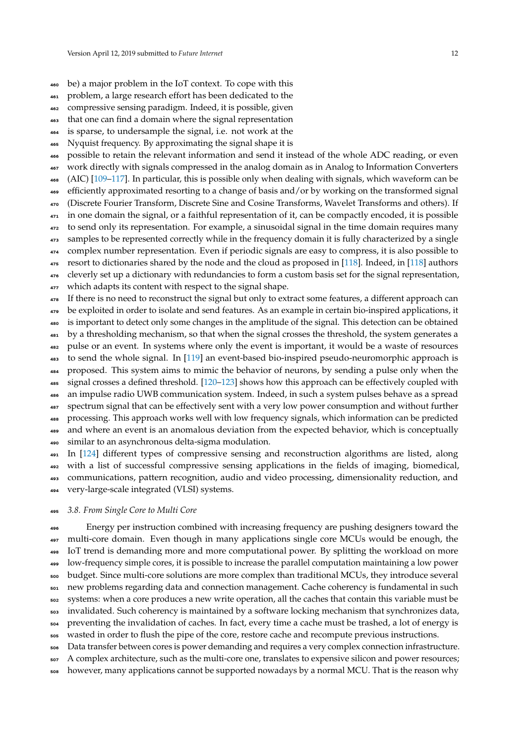- be) a major problem in the IoT context. To cope with this
- problem, a large research effort has been dedicated to the
- compressive sensing paradigm. Indeed, it is possible, given
- that one can find a domain where the signal representation
- is sparse, to undersample the signal, i.e. not work at the
- Nyquist frequency. By approximating the signal shape it is

 possible to retain the relevant information and send it instead of the whole ADC reading, or even work directly with signals compressed in the analog domain as in Analog to Information Converters (AIC) [109–117]. In particular, this is possible only when dealing with signals, which waveform can be efficiently approximated resorting to a change of basis and/or by working on the transformed signal (Discrete Fourier Transform, Discrete Sine and Cosine Transforms, Wavelet Transforms and others). If <sup>471</sup> in one domain the signal, or a faithful representation of it, can be compactly encoded, it is possible to send only its representation. For example, a sinusoidal signal in the time domain requires many samples to be represented correctly while in the frequency domain it is fully characterized by a single complex number representation. Even if periodic signals are easy to compress, it is also possible to resort to dictionaries shared by the node and the cloud as proposed in [118]. Indeed, in [118] authors cleverly set up a dictionary with redundancies to form a custom basis set for the signal representation,

which adapts its content with respect to the signal shape.

 If there is no need to reconstruct the signal but only to extract some features, a different approach can be exploited in order to isolate and send features. As an example in certain bio-inspired applications, it is important to detect only some changes in the amplitude of the signal. This detection can be obtained by a thresholding mechanism, so that when the signal crosses the threshold, the system generates a pulse or an event. In systems where only the event is important, it would be a waste of resources to send the whole signal. In [119] an event-based bio-inspired pseudo-neuromorphic approach is proposed. This system aims to mimic the behavior of neurons, by sending a pulse only when the

- signal crosses a defined threshold. [120–123] shows how this approach can be effectively coupled with an impulse radio UWB communication system. Indeed, in such a system pulses behave as a spread spectrum signal that can be effectively sent with a very low power consumption and without further processing. This approach works well with low frequency signals, which information can be predicted ass and where an event is an anomalous deviation from the expected behavior, which is conceptually similar to an asynchronous delta-sigma modulation.
- In [124] different types of compressive sensing and reconstruction algorithms are listed, along with a list of successful compressive sensing applications in the fields of imaging, biomedical, communications, pattern recognition, audio and video processing, dimensionality reduction, and very-large-scale integrated (VLSI) systems.

#### *3.8. From Single Core to Multi Core*

Energy per instruction combined with increasing frequency are pushing designers toward the multi-core domain. Even though in many applications single core MCUs would be enough, the IoT trend is demanding more and more computational power. By splitting the workload on more low-frequency simple cores, it is possible to increase the parallel computation maintaining a low power budget. Since multi-core solutions are more complex than traditional MCUs, they introduce several new problems regarding data and connection management. Cache coherency is fundamental in such systems: when a core produces a new write operation, all the caches that contain this variable must be invalidated. Such coherency is maintained by a software locking mechanism that synchronizes data, preventing the invalidation of caches. In fact, every time a cache must be trashed, a lot of energy is wasted in order to flush the pipe of the core, restore cache and recompute previous instructions. Data transfer between cores is power demanding and requires a very complex connection infrastructure.

<sub>507</sub> A complex architecture, such as the multi-core one, translates to expensive silicon and power resources; however, many applications cannot be supported nowadays by a normal MCU. That is the reason why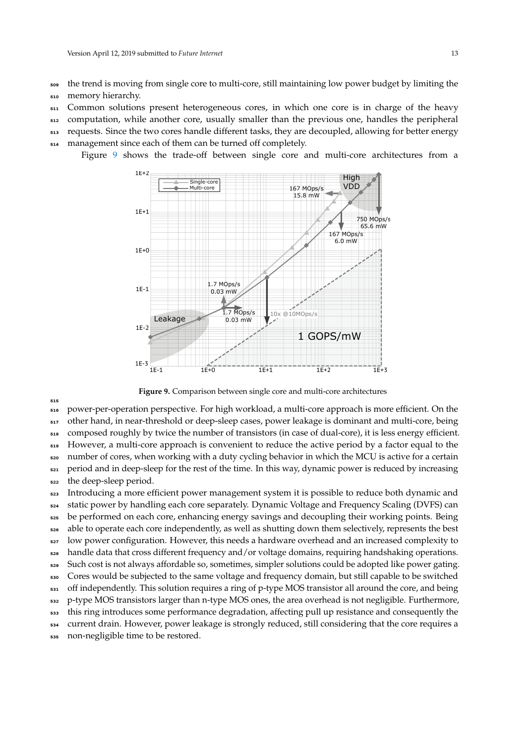- <sup>509</sup> the trend is moving from single core to multi-core, still maintaining low power budget by limiting the
- <sup>510</sup> memory hierarchy.
- $\frac{1}{511}$  Common solutions present heterogeneous cores, in which one core is in charge of the heavy
- <sub>512</sub> computation, while another core, usually smaller than the previous one, handles the peripheral
- <sup>513</sup> requests. Since the two cores handle different tasks, they are decoupled, allowing for better energy
- <sup>514</sup> management since each of them can be turned off completely.

Figure 9 shows the trade-off between single core and multi-core architectures from a



**Figure 9.** Comparison between single core and multi-core architectures

515

 power-per-operation perspective. For high workload, a multi-core approach is more efficient. On the other hand, in near-threshold or deep-sleep cases, power leakage is dominant and multi-core, being composed roughly by twice the number of transistors (in case of dual-core), it is less energy efficient. However, a multi-core approach is convenient to reduce the active period by a factor equal to the number of cores, when working with a duty cycling behavior in which the MCU is active for a certain period and in deep-sleep for the rest of the time. In this way, dynamic power is reduced by increasing the deep-sleep period.

 Introducing a more efficient power management system it is possible to reduce both dynamic and static power by handling each core separately. Dynamic Voltage and Frequency Scaling (DVFS) can be performed on each core, enhancing energy savings and decoupling their working points. Being able to operate each core independently, as well as shutting down them selectively, represents the best <sub>527</sub> low power configuration. However, this needs a hardware overhead and an increased complexity to handle data that cross different frequency and/or voltage domains, requiring handshaking operations. Such cost is not always affordable so, sometimes, simpler solutions could be adopted like power gating. Cores would be subjected to the same voltage and frequency domain, but still capable to be switched off independently. This solution requires a ring of p-type MOS transistor all around the core, and being p-type MOS transistors larger than n-type MOS ones, the area overhead is not negligible. Furthermore, this ring introduces some performance degradation, affecting pull up resistance and consequently the current drain. However, power leakage is strongly reduced, still considering that the core requires a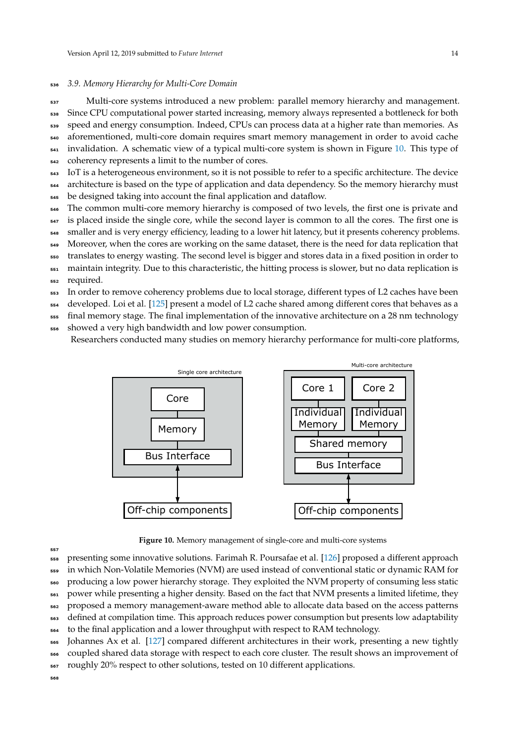#### <sup>536</sup> *3.9. Memory Hierarchy for Multi-Core Domain*

 Multi-core systems introduced a new problem: parallel memory hierarchy and management. Since CPU computational power started increasing, memory always represented a bottleneck for both s39 speed and energy consumption. Indeed, CPUs can process data at a higher rate than memories. As aforementioned, multi-core domain requires smart memory management in order to avoid cache <sup>541</sup> invalidation. A schematic view of a typical multi-core system is shown in Figure 10. This type of coherency represents a limit to the number of cores.

<sup>543</sup> IoT is a heterogeneous environment, so it is not possible to refer to a specific architecture. The device <sup>544</sup> architecture is based on the type of application and data dependency. So the memory hierarchy must <sup>545</sup> be designed taking into account the final application and dataflow.

- <sub>546</sub> The common multi-core memory hierarchy is composed of two levels, the first one is private and
- $547$  is placed inside the single core, while the second layer is common to all the cores. The first one is <sup>548</sup> smaller and is very energy efficiency, leading to a lower hit latency, but it presents coherency problems.
- <sup>549</sup> Moreover, when the cores are working on the same dataset, there is the need for data replication that
- <sup>550</sup> translates to energy wasting. The second level is bigger and stores data in a fixed position in order to
- <sup>551</sup> maintain integrity. Due to this characteristic, the hitting process is slower, but no data replication is
- <sup>552</sup> required.
- <sup>553</sup> In order to remove coherency problems due to local storage, different types of L2 caches have been
- developed. Loi et al. [125] present a model of L2 cache shared among different cores that behaves as a
- <sup>555</sup> final memory stage. The final implementation of the innovative architecture on a 28 nm technology
- <sup>556</sup> showed a very high bandwidth and low power consumption.

Researchers conducted many studies on memory hierarchy performance for multi-core platforms,



**Figure 10.** Memory management of single-core and multi-core systems

<sup>558</sup> presenting some innovative solutions. Farimah R. Poursafae et al. [126] proposed a different approach

<sup>559</sup> in which Non-Volatile Memories (NVM) are used instead of conventional static or dynamic RAM for

producing a low power hierarchy storage. They exploited the NVM property of consuming less static

<sup>561</sup> power while presenting a higher density. Based on the fact that NVM presents a limited lifetime, they

<sup>562</sup> proposed a memory management-aware method able to allocate data based on the access patterns

<sup>563</sup> defined at compilation time. This approach reduces power consumption but presents low adaptability

<sup>564</sup> to the final application and a lower throughput with respect to RAM technology.

<sup>565</sup> Johannes Ax et al. [127] compared different architectures in their work, presenting a new tightly <sup>566</sup> coupled shared data storage with respect to each core cluster. The result shows an improvement of <sup>567</sup> roughly 20% respect to other solutions, tested on 10 different applications.

**E69** 

557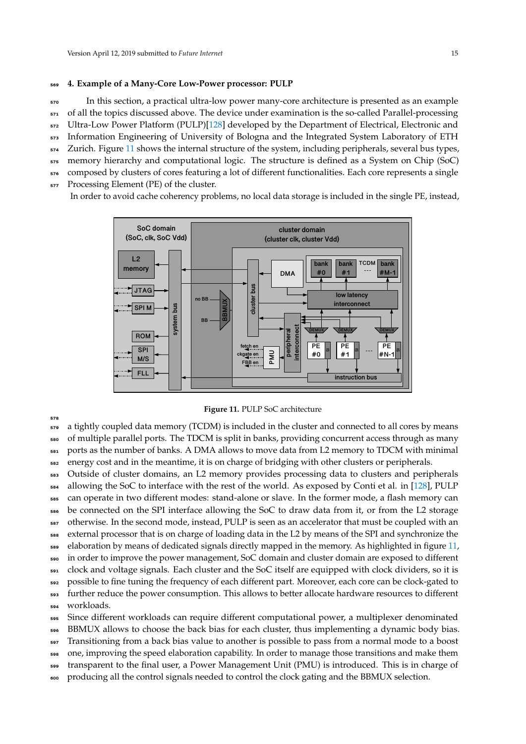578

#### <sup>569</sup> **4. Example of a Many-Core Low-Power processor: PULP**

 In this section, a practical ultra-low power many-core architecture is presented as an example of all the topics discussed above. The device under examination is the so-called Parallel-processing Ultra-Low Power Platform (PULP)[128] developed by the Department of Electrical, Electronic and Information Engineering of University of Bologna and the Integrated System Laboratory of ETH Zurich. Figure 11 shows the internal structure of the system, including peripherals, several bus types, memory hierarchy and computational logic. The structure is defined as a System on Chip (SoC) <sub>576</sub> composed by clusters of cores featuring a lot of different functionalities. Each core represents a single Processing Element (PE) of the cluster.

In order to avoid cache coherency problems, no local data storage is included in the single PE, instead,



**Figure 11.** PULP SoC architecture

 a tightly coupled data memory (TCDM) is included in the cluster and connected to all cores by means of multiple parallel ports. The TDCM is split in banks, providing concurrent access through as many ports as the number of banks. A DMA allows to move data from L2 memory to TDCM with minimal <sub>582</sub> energy cost and in the meantime, it is on charge of bridging with other clusters or peripherals.

<sub>583</sub> Outside of cluster domains, an L2 memory provides processing data to clusters and peripherals

 allowing the SoC to interface with the rest of the world. As exposed by Conti et al. in [128], PULP can operate in two different modes: stand-alone or slave. In the former mode, a flash memory can be connected on the SPI interface allowing the SoC to draw data from it, or from the L2 storage <sub>587</sub> otherwise. In the second mode, instead, PULP is seen as an accelerator that must be coupled with an

<sup>588</sup> external processor that is on charge of loading data in the L2 by means of the SPI and synchronize the

<sup>589</sup> elaboration by means of dedicated signals directly mapped in the memory. As highlighted in figure 11,

<sup>590</sup> in order to improve the power management, SoC domain and cluster domain are exposed to different <sup>591</sup> clock and voltage signals. Each cluster and the SoC itself are equipped with clock dividers, so it is

<sup>592</sup> possible to fine tuning the frequency of each different part. Moreover, each core can be clock-gated to

<sup>593</sup> further reduce the power consumption. This allows to better allocate hardware resources to different <sup>594</sup> workloads.

<sup>595</sup> Since different workloads can require different computational power, a multiplexer denominated

<sup>596</sup> BBMUX allows to choose the back bias for each cluster, thus implementing a dynamic body bias.

<sub>597</sub> Transitioning from a back bias value to another is possible to pass from a normal mode to a boost

<sup>598</sup> one, improving the speed elaboration capability. In order to manage those transitions and make them

<sup>599</sup> transparent to the final user, a Power Management Unit (PMU) is introduced. This is in charge of

<sup>600</sup> producing all the control signals needed to control the clock gating and the BBMUX selection.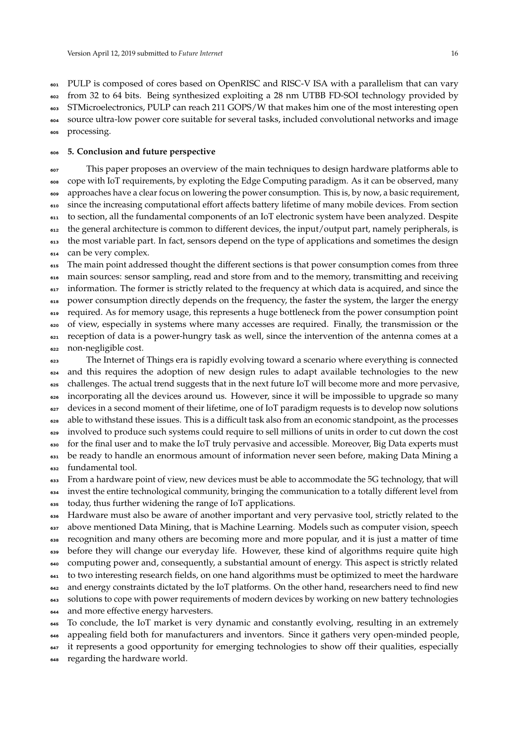PULP is composed of cores based on OpenRISC and RISC-V ISA with a parallelism that can vary <sub>602</sub> from 32 to 64 bits. Being synthesized exploiting a 28 nm UTBB FD-SOI technology provided by STMicroelectronics, PULP can reach 211 GOPS/W that makes him one of the most interesting open source ultra-low power core suitable for several tasks, included convolutional networks and image processing.

#### **5. Conclusion and future perspective**

<sup>607</sup> This paper proposes an overview of the main techniques to design hardware platforms able to cope with IoT requirements, by exploting the Edge Computing paradigm. As it can be observed, many approaches have a clear focus on lowering the power consumption. This is, by now, a basic requirement, since the increasing computational effort affects battery lifetime of many mobile devices. From section to section, all the fundamental components of an IoT electronic system have been analyzed. Despite the general architecture is common to different devices, the input/output part, namely peripherals, is the most variable part. In fact, sensors depend on the type of applications and sometimes the design can be very complex.

 The main point addressed thought the different sections is that power consumption comes from three main sources: sensor sampling, read and store from and to the memory, transmitting and receiving 617 information. The former is strictly related to the frequency at which data is acquired, and since the power consumption directly depends on the frequency, the faster the system, the larger the energy required. As for memory usage, this represents a huge bottleneck from the power consumption point of view, especially in systems where many accesses are required. Finally, the transmission or the  $\epsilon_{21}$  reception of data is a power-hungry task as well, since the intervention of the antenna comes at a non-negligible cost.

<sup>623</sup> The Internet of Things era is rapidly evolving toward a scenario where everything is connected <sup>624</sup> and this requires the adoption of new design rules to adapt available technologies to the new <sub>625</sub> challenges. The actual trend suggests that in the next future IoT will become more and more pervasive, <sub>626</sub> incorporating all the devices around us. However, since it will be impossible to upgrade so many devices in a second moment of their lifetime, one of IoT paradigm requests is to develop now solutions 628 able to withstand these issues. This is a difficult task also from an economic standpoint, as the processes involved to produce such systems could require to sell millions of units in order to cut down the cost for the final user and to make the IoT truly pervasive and accessible. Moreover, Big Data experts must <sup>631</sup> be ready to handle an enormous amount of information never seen before, making Data Mining a fundamental tool.

<sup>633</sup> From a hardware point of view, new devices must be able to accommodate the 5G technology, that will

 invest the entire technological community, bringing the communication to a totally different level from today, thus further widening the range of IoT applications.

 Hardware must also be aware of another important and very pervasive tool, strictly related to the 637 above mentioned Data Mining, that is Machine Learning. Models such as computer vision, speech recognition and many others are becoming more and more popular, and it is just a matter of time before they will change our everyday life. However, these kind of algorithms require quite high computing power and, consequently, a substantial amount of energy. This aspect is strictly related to two interesting research fields, on one hand algorithms must be optimized to meet the hardware <sub>642</sub> and energy constraints dictated by the IoT platforms. On the other hand, researchers need to find new solutions to cope with power requirements of modern devices by working on new battery technologies and more effective energy harvesters.

 To conclude, the IoT market is very dynamic and constantly evolving, resulting in an extremely appealing field both for manufacturers and inventors. Since it gathers very open-minded people,

<sup>647</sup> it represents a good opportunity for emerging technologies to show off their qualities, especially

regarding the hardware world.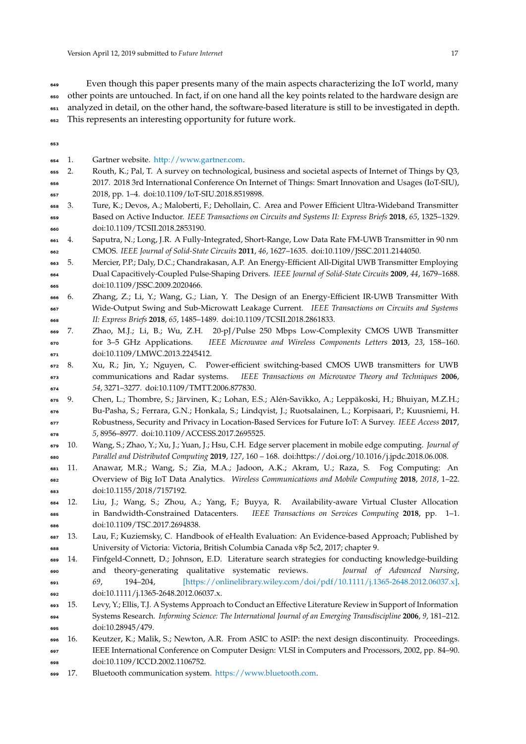Even though this paper presents many of the main aspects characterizing the IoT world, many other points are untouched. In fact, if on one hand all the key points related to the hardware design are analyzed in detail, on the other hand, the software-based literature is still to be investigated in depth. This represents an interesting opportunity for future work.

- 1. Gartner website. [http://www.gartner.com.](http://www.gartner.com)
- 2. Routh, K.; Pal, T. A survey on technological, business and societal aspects of Internet of Things by Q3,
- 2017. 2018 3rd International Conference On Internet of Things: Smart Innovation and Usages (IoT-SIU), 2018, pp. 1–4. doi[:10.1109/IoT-SIU.2018.8519898.](https://doi.org/10.1109/IoT-SIU.2018.8519898)
- 3. Ture, K.; Devos, A.; Maloberti, F.; Dehollain, C. Area and Power Efficient Ultra-Wideband Transmitter Based on Active Inductor. *IEEE Transactions on Circuits and Systems II: Express Briefs* **2018**, *65*, 1325–1329. doi[:10.1109/TCSII.2018.2853190.](https://doi.org/10.1109/TCSII.2018.2853190)
- 4. Saputra, N.; Long, J.R. A Fully-Integrated, Short-Range, Low Data Rate FM-UWB Transmitter in 90 nm CMOS. *IEEE Journal of Solid-State Circuits* **2011**, *46*, 1627–1635. doi[:10.1109/JSSC.2011.2144050.](https://doi.org/10.1109/JSSC.2011.2144050)
- 5. Mercier, P.P.; Daly, D.C.; Chandrakasan, A.P. An Energy-Efficient All-Digital UWB Transmitter Employing
- Dual Capacitively-Coupled Pulse-Shaping Drivers. *IEEE Journal of Solid-State Circuits* **2009**, *44*, 1679–1688. doi[:10.1109/JSSC.2009.2020466.](https://doi.org/10.1109/JSSC.2009.2020466)
- 6. Zhang, Z.; Li, Y.; Wang, G.; Lian, Y. The Design of an Energy-Efficient IR-UWB Transmitter With Wide-Output Swing and Sub-Microwatt Leakage Current. *IEEE Transactions on Circuits and Systems II: Express Briefs* **2018**, *65*, 1485–1489. doi[:10.1109/TCSII.2018.2861833.](https://doi.org/10.1109/TCSII.2018.2861833)
- 7. Zhao, M.J.; Li, B.; Wu, Z.H. 20-pJ/Pulse 250 Mbps Low-Complexity CMOS UWB Transmitter for 3–5 GHz Applications. *IEEE Microwave and Wireless Components Letters* **2013**, *23*, 158–160. doi[:10.1109/LMWC.2013.2245412.](https://doi.org/10.1109/LMWC.2013.2245412)
- 8. Xu, R.; Jin, Y.; Nguyen, C. Power-efficient switching-based CMOS UWB transmitters for UWB communications and Radar systems. *IEEE Transactions on Microwave Theory and Techniques* **2006**, *54*, 3271–3277. doi[:10.1109/TMTT.2006.877830.](https://doi.org/10.1109/TMTT.2006.877830)
- 9. Chen, L.; Thombre, S.; Järvinen, K.; Lohan, E.S.; Alén-Savikko, A.; Leppäkoski, H.; Bhuiyan, M.Z.H.; Bu-Pasha, S.; Ferrara, G.N.; Honkala, S.; Lindqvist, J.; Ruotsalainen, L.; Korpisaari, P.; Kuusniemi, H. Robustness, Security and Privacy in Location-Based Services for Future IoT: A Survey. *IEEE Access* **2017**, *5*, 8956–8977. doi[:10.1109/ACCESS.2017.2695525.](https://doi.org/10.1109/ACCESS.2017.2695525)
- 10. Wang, S.; Zhao, Y.; Xu, J.; Yuan, J.; Hsu, C.H. Edge server placement in mobile edge computing. *Journal of Parallel and Distributed Computing* **2019**, *127*, 160 – 168. doi[:https://doi.org/10.1016/j.jpdc.2018.06.008.](https://doi.org/https://doi.org/10.1016/j.jpdc.2018.06.008)
- 11. Anawar, M.R.; Wang, S.; Zia, M.A.; Jadoon, A.K.; Akram, U.; Raza, S. Fog Computing: An Overview of Big IoT Data Analytics. *Wireless Communications and Mobile Computing* **2018**, *2018*, 1–22. doi[:10.1155/2018/7157192.](https://doi.org/10.1155/2018/7157192)
- 12. Liu, J.; Wang, S.; Zhou, A.; Yang, F.; Buyya, R. Availability-aware Virtual Cluster Allocation in Bandwidth-Constrained Datacenters. *IEEE Transactions on Services Computing* **2018**, pp. 1–1. doi[:10.1109/TSC.2017.2694838.](https://doi.org/10.1109/TSC.2017.2694838)
- 687 13. Lau, F.; Kuziemsky, C. Handbook of eHealth Evaluation: An Evidence-based Approach; Published by University of Victoria: Victoria, British Columbia Canada v8p 5c2, 2017; chapter 9.
- 14. Finfgeld-Connett, D.; Johnson, E.D. Literature search strategies for conducting knowledge-building and theory-generating qualitative systematic reviews. *Journal of Advanced Nursing*, *69*, 194–204, [\[https://onlinelibrary.wiley.com/doi/pdf/10.1111/j.1365-2648.2012.06037.x\].](http://xxx.lanl.gov/abs/https://onlinelibrary.wiley.com/doi/pdf/10.1111/j.1365-2648.2012.06037.x) doi[:10.1111/j.1365-2648.2012.06037.x.](https://doi.org/10.1111/j.1365-2648.2012.06037.x)
- 15. Levy, Y.; Ellis, T.J. A Systems Approach to Conduct an Effective Literature Review in Support of Information Systems Research. *Informing Science: The International Journal of an Emerging Transdiscipline* **2006**, *9*, 181–212. doi[:10.28945/479.](https://doi.org/10.28945/479)
- 16. Keutzer, K.; Malik, S.; Newton, A.R. From ASIC to ASIP: the next design discontinuity. Proceedings. IEEE International Conference on Computer Design: VLSI in Computers and Processors, 2002, pp. 84–90. doi[:10.1109/ICCD.2002.1106752.](https://doi.org/10.1109/ICCD.2002.1106752)
- 17. Bluetooth communication system. [https://www.bluetooth.com.](https://www.bluetooth.com)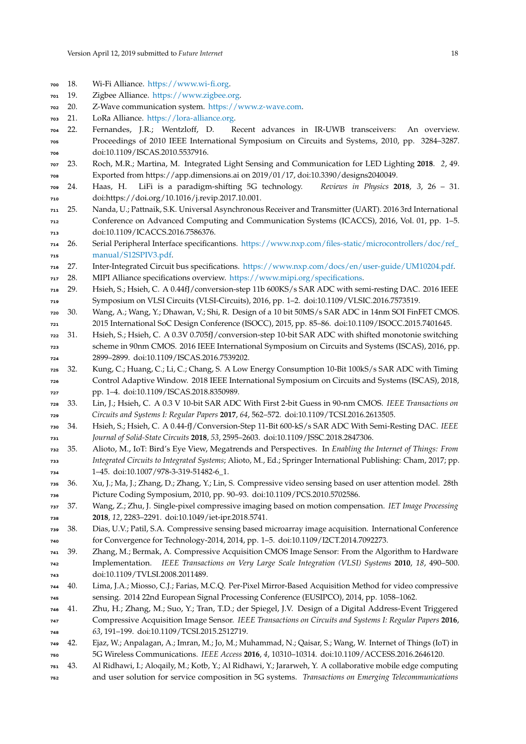- 18. Wi-Fi Alliance. [https://www.wi-fi.org.](https://www.wi-fi.org)
- 19. Zigbee Alliance. [https://www.zigbee.org.](https://www.zigbee.org)
- 20. Z-Wave communication system. [https://www.z-wave.com.](https://www.z-wave.com)
- 21. LoRa Alliance. [https://lora-alliance.org.](https://lora-alliance.org)
- 22. Fernandes, J.R.; Wentzloff, D. Recent advances in IR-UWB transceivers: An overview. Proceedings of 2010 IEEE International Symposium on Circuits and Systems, 2010, pp. 3284–3287. doi[:10.1109/ISCAS.2010.5537916.](https://doi.org/10.1109/ISCAS.2010.5537916)
- 23. Roch, M.R.; Martina, M. Integrated Light Sensing and Communication for LED Lighting **2018**. *2*, 49. Exported from https://app.dimensions.ai on 2019/01/17, doi[:10.3390/designs2040049.](https://doi.org/10.3390/designs2040049)
- 24. Haas, H. LiFi is a paradigm-shifting 5G technology. *Reviews in Physics* **2018**, *3*, 26 31. doi[:https://doi.org/10.1016/j.revip.2017.10.001.](https://doi.org/https://doi.org/10.1016/j.revip.2017.10.001)
- 25. Nanda, U.; Pattnaik, S.K. Universal Asynchronous Receiver and Transmitter (UART). 2016 3rd International Conference on Advanced Computing and Communication Systems (ICACCS), 2016, Vol. 01, pp. 1–5. doi[:10.1109/ICACCS.2016.7586376.](https://doi.org/10.1109/ICACCS.2016.7586376)
- [2](https://www.nxp.com/files-static/microcontrollers/doc/ref_manual/S12SPIV3.pdf)6. Serial Peripheral Interface specificantions. [https://www.nxp.com/files-static/microcontrollers/doc/ref\\_](https://www.nxp.com/files-static/microcontrollers/doc/ref_manual/S12SPIV3.pdf) [manual/S12SPIV3.pdf.](https://www.nxp.com/files-static/microcontrollers/doc/ref_manual/S12SPIV3.pdf)
- 27. Inter-Integrated Circuit bus specifications. [https://www.nxp.com/docs/en/user-guide/UM10204.pdf.](https://www.nxp.com/docs/en/user-guide/UM10204.pdf)

28. MIPI Alliance specifications overview. [https://www.mipi.org/specifications.](https://www.mipi.org/specifications)

- 29. Hsieh, S.; Hsieh, C. A 0.44fJ/conversion-step 11b 600KS/s SAR ADC with semi-resting DAC. 2016 IEEE Symposium on VLSI Circuits (VLSI-Circuits), 2016, pp. 1–2. doi[:10.1109/VLSIC.2016.7573519.](https://doi.org/10.1109/VLSIC.2016.7573519)
- 30. Wang, A.; Wang, Y.; Dhawan, V.; Shi, R. Design of a 10 bit 50MS/s SAR ADC in 14nm SOI FinFET CMOS. 2015 International SoC Design Conference (ISOCC), 2015, pp. 85–86. doi[:10.1109/ISOCC.2015.7401645.](https://doi.org/10.1109/ISOCC.2015.7401645)
- 31. Hsieh, S.; Hsieh, C. A 0.3V 0.705fJ/conversion-step 10-bit SAR ADC with shifted monotonie switching scheme in 90nm CMOS. 2016 IEEE International Symposium on Circuits and Systems (ISCAS), 2016, pp. 2899–2899. doi[:10.1109/ISCAS.2016.7539202.](https://doi.org/10.1109/ISCAS.2016.7539202)
- 32. Kung, C.; Huang, C.; Li, C.; Chang, S. A Low Energy Consumption 10-Bit 100kS/s SAR ADC with Timing Control Adaptive Window. 2018 IEEE International Symposium on Circuits and Systems (ISCAS), 2018, pp. 1–4. doi[:10.1109/ISCAS.2018.8350989.](https://doi.org/10.1109/ISCAS.2018.8350989)
- 33. Lin, J.; Hsieh, C. A 0.3 V 10-bit SAR ADC With First 2-bit Guess in 90-nm CMOS. *IEEE Transactions on Circuits and Systems I: Regular Papers* **2017**, *64*, 562–572. doi[:10.1109/TCSI.2016.2613505.](https://doi.org/10.1109/TCSI.2016.2613505)
- 34. Hsieh, S.; Hsieh, C. A 0.44-fJ/Conversion-Step 11-Bit 600-kS/s SAR ADC With Semi-Resting DAC. *IEEE Journal of Solid-State Circuits* **2018**, *53*, 2595–2603. doi[:10.1109/JSSC.2018.2847306.](https://doi.org/10.1109/JSSC.2018.2847306)
- 35. Alioto, M., IoT: Bird's Eye View, Megatrends and Perspectives. In *Enabling the Internet of Things: From Integrated Circuits to Integrated Systems*; Alioto, M., Ed.; Springer International Publishing: Cham, 2017; pp. 1–45. doi[:10.1007/978-3-319-51482-6\\_1.](https://doi.org/10.1007/978-3-319-51482-6_1)
- 36. Xu, J.; Ma, J.; Zhang, D.; Zhang, Y.; Lin, S. Compressive video sensing based on user attention model. 28th Picture Coding Symposium, 2010, pp. 90–93. doi[:10.1109/PCS.2010.5702586.](https://doi.org/10.1109/PCS.2010.5702586)
- 37. Wang, Z.; Zhu, J. Single-pixel compressive imaging based on motion compensation. *IET Image Processing* **2018**, *12*, 2283–2291. doi[:10.1049/iet-ipr.2018.5741.](https://doi.org/10.1049/iet-ipr.2018.5741)
- 38. Dias, U.V.; Patil, S.A. Compressive sensing based microarray image acquisition. International Conference for Convergence for Technology-2014, 2014, pp. 1–5. doi[:10.1109/I2CT.2014.7092273.](https://doi.org/10.1109/I2CT.2014.7092273)
- 39. Zhang, M.; Bermak, A. Compressive Acquisition CMOS Image Sensor: From the Algorithm to Hardware Implementation. *IEEE Transactions on Very Large Scale Integration (VLSI) Systems* **2010**, *18*, 490–500. doi[:10.1109/TVLSI.2008.2011489.](https://doi.org/10.1109/TVLSI.2008.2011489)
- 40. Lima, J.A.; Miosso, C.J.; Farias, M.C.Q. Per-Pixel Mirror-Based Acquisition Method for video compressive sensing. 2014 22nd European Signal Processing Conference (EUSIPCO), 2014, pp. 1058–1062.
- 41. Zhu, H.; Zhang, M.; Suo, Y.; Tran, T.D.; der Spiegel, J.V. Design of a Digital Address-Event Triggered Compressive Acquisition Image Sensor. *IEEE Transactions on Circuits and Systems I: Regular Papers* **2016**, *63*, 191–199. doi[:10.1109/TCSI.2015.2512719.](https://doi.org/10.1109/TCSI.2015.2512719)
- 42. Ejaz, W.; Anpalagan, A.; Imran, M.; Jo, M.; Muhammad, N.; Qaisar, S.; Wang, W. Internet of Things (IoT) in 5G Wireless Communications. *IEEE Access* **2016**, *4*, 10310–10314. doi[:10.1109/ACCESS.2016.2646120.](https://doi.org/10.1109/ACCESS.2016.2646120)
- 43. Al Ridhawi, I.; Aloqaily, M.; Kotb, Y.; Al Ridhawi, Y.; Jararweh, Y. A collaborative mobile edge computing and user solution for service composition in 5G systems. *Transactions on Emerging Telecommunications*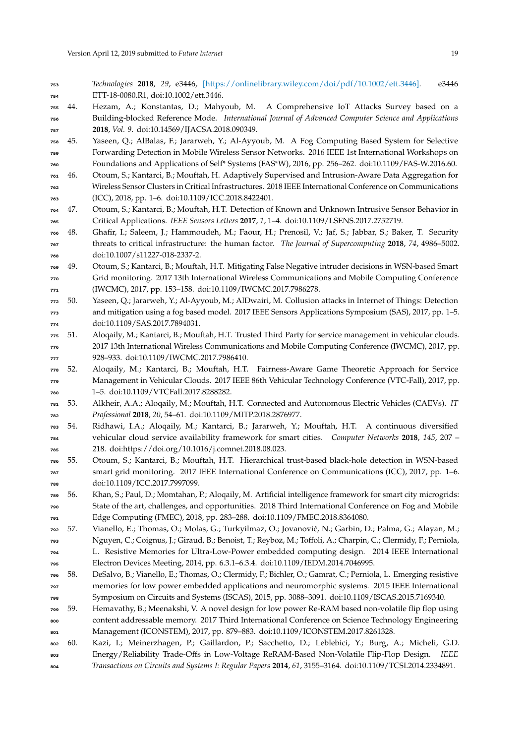| 753<br>754 |     | Technologies 2018, 29, e3446, [https://onlinelibrary.wiley.com/doi/pdf/10.1002/ett.3446].<br>e3446<br>ETT-18-0080.R1, doi:10.1002/ett.3446.                                                                           |
|------------|-----|-----------------------------------------------------------------------------------------------------------------------------------------------------------------------------------------------------------------------|
| 755        | 44. | Hezam, A.; Konstantas, D.; Mahyoub, M. A Comprehensive IoT Attacks Survey based on a                                                                                                                                  |
| 756        |     | Building-blocked Reference Mode. International Journal of Advanced Computer Science and Applications                                                                                                                  |
| 757        |     | 2018, Vol. 9. doi:10.14569/IJACSA.2018.090349.                                                                                                                                                                        |
| 758        | 45. | Yaseen, Q.; AlBalas, F.; Jararweh, Y.; Al-Ayyoub, M. A Fog Computing Based System for Selective                                                                                                                       |
| 759        |     | Forwarding Detection in Mobile Wireless Sensor Networks. 2016 IEEE 1st International Workshops on                                                                                                                     |
| 760        |     | Foundations and Applications of Self* Systems (FAS*W), 2016, pp. 256-262. doi:10.1109/FAS-W.2016.60.                                                                                                                  |
| 761        | 46. | Otoum, S.; Kantarci, B.; Mouftah, H. Adaptively Supervised and Intrusion-Aware Data Aggregation for                                                                                                                   |
| 762        |     | Wireless Sensor Clusters in Critical Infrastructures. 2018 IEEE International Conference on Communications                                                                                                            |
| 763        |     | (ICC), 2018, pp. 1-6. doi:10.1109/ICC.2018.8422401.                                                                                                                                                                   |
| 764        | 47. | Otoum, S.; Kantarci, B.; Mouftah, H.T. Detection of Known and Unknown Intrusive Sensor Behavior in                                                                                                                    |
| 765        |     | Critical Applications. IEEE Sensors Letters 2017, 1, 1-4. doi:10.1109/LSENS.2017.2752719.                                                                                                                             |
| 766        | 48. | Ghafir, I.; Saleem, J.; Hammoudeh, M.; Faour, H.; Prenosil, V.; Jaf, S.; Jabbar, S.; Baker, T. Security                                                                                                               |
| 767        |     | threats to critical infrastructure: the human factor. The Journal of Supercomputing 2018, 74, 4986-5002.                                                                                                              |
| 768        |     | doi:10.1007/s11227-018-2337-2.                                                                                                                                                                                        |
| 769        | 49. | Otoum, S.; Kantarci, B.; Mouftah, H.T. Mitigating False Negative intruder decisions in WSN-based Smart                                                                                                                |
| 770        |     | Grid monitoring. 2017 13th International Wireless Communications and Mobile Computing Conference                                                                                                                      |
| 771        |     | (IWCMC), 2017, pp. 153-158. doi:10.1109/IWCMC.2017.7986278.                                                                                                                                                           |
| 772        | 50. | Yaseen, Q.; Jararweh, Y.; Al-Ayyoub, M.; AlDwairi, M. Collusion attacks in Internet of Things: Detection                                                                                                              |
| 773        |     | and mitigation using a fog based model. 2017 IEEE Sensors Applications Symposium (SAS), 2017, pp. 1-5.                                                                                                                |
| 774        |     | doi:10.1109/SAS.2017.7894031.                                                                                                                                                                                         |
| 775        | 51. | Aloqaily, M.; Kantarci, B.; Mouftah, H.T. Trusted Third Party for service management in vehicular clouds                                                                                                              |
| 776        |     | 2017 13th International Wireless Communications and Mobile Computing Conference (IWCMC), 2017, pp.                                                                                                                    |
| 777        |     | 928-933. doi:10.1109/IWCMC.2017.7986410.                                                                                                                                                                              |
| 778        | 52. | Aloqaily, M.; Kantarci, B.; Mouftah, H.T. Fairness-Aware Game Theoretic Approach for Service                                                                                                                          |
| 779        |     | Management in Vehicular Clouds. 2017 IEEE 86th Vehicular Technology Conference (VTC-Fall), 2017, pp                                                                                                                   |
| 780        |     | 1-5. doi:10.1109/VTCFall.2017.8288282.                                                                                                                                                                                |
| 781        | 53. | Alkheir, A.A.; Aloqaily, M.; Mouftah, H.T. Connected and Autonomous Electric Vehicles (CAEVs). IT                                                                                                                     |
| 782        |     | Professional 2018, 20, 54-61. doi:10.1109/MITP.2018.2876977.                                                                                                                                                          |
| 783        | 54. | Ridhawi, I.A.; Aloqaily, M.; Kantarci, B.; Jararweh, Y.; Mouftah, H.T. A continuous diversified                                                                                                                       |
|            |     | vehicular cloud service availability framework for smart cities. Computer Networks 2018, 145, 207 -                                                                                                                   |
| 784        |     | 218. doi:https://doi.org/10.1016/j.comnet.2018.08.023.                                                                                                                                                                |
| 785        | 55. | Otoum, S.; Kantarci, B.; Mouftah, H.T. Hierarchical trust-based black-hole detection in WSN-based                                                                                                                     |
| 786        |     | smart grid monitoring. 2017 IEEE International Conference on Communications (ICC), 2017, pp. 1-6.                                                                                                                     |
| 787        |     | doi:10.1109/ICC.2017.7997099.                                                                                                                                                                                         |
| 788        |     |                                                                                                                                                                                                                       |
| 789        | 56. | Khan, S.; Paul, D.; Momtahan, P.; Aloqaily, M. Artificial intelligence framework for smart city microgrids:<br>State of the art, challenges, and opportunities. 2018 Third International Conference on Fog and Mobile |
| 790        |     |                                                                                                                                                                                                                       |
| 791        | 57. | Edge Computing (FMEC), 2018, pp. 283-288. doi:10.1109/FMEC.2018.8364080.                                                                                                                                              |
| 792        |     | Vianello, E.; Thomas, O.; Molas, G.; Turkyilmaz, O.; Jovanović, N.; Garbin, D.; Palma, G.; Alayan, M.;                                                                                                                |
| 793        |     | Nguyen, C.; Coignus, J.; Giraud, B.; Benoist, T.; Reyboz, M.; Toffoli, A.; Charpin, C.; Clermidy, F.; Perniola,                                                                                                       |
| 794        |     | L. Resistive Memories for Ultra-Low-Power embedded computing design. 2014 IEEE International                                                                                                                          |
| 795        |     | Electron Devices Meeting, 2014, pp. 6.3.1-6.3.4. doi:10.1109/IEDM.2014.7046995.                                                                                                                                       |
| 796        | 58. | DeSalvo, B.; Vianello, E.; Thomas, O.; Clermidy, F.; Bichler, O.; Gamrat, C.; Perniola, L. Emerging resistive                                                                                                         |
| 797        |     | memories for low power embedded applications and neuromorphic systems. 2015 IEEE International                                                                                                                        |
| 798        |     | Symposium on Circuits and Systems (ISCAS), 2015, pp. 3088-3091. doi:10.1109/ISCAS.2015.7169340.                                                                                                                       |
| 799        | 59. | Hemavathy, B.; Meenakshi, V. A novel design for low power Re-RAM based non-volatile flip flop using                                                                                                                   |
| 800        |     | content addressable memory. 2017 Third International Conference on Science Technology Engineering                                                                                                                     |
| 801        |     | Management (ICONSTEM), 2017, pp. 879-883. doi:10.1109/ICONSTEM.2017.8261328.                                                                                                                                          |
| 802        | 60. | Kazi, I.; Meinerzhagen, P.; Gaillardon, P.; Sacchetto, D.; Leblebici, Y.; Burg, A.; Micheli, G.D.                                                                                                                     |
| 803        |     | Energy/Reliability Trade-Offs in Low-Voltage ReRAM-Based Non-Volatile Flip-Flop Design.<br><i>IEEE</i>                                                                                                                |
| 804        |     | Transactions on Circuits and Systems I: Regular Papers 2014, 61, 3155-3164. doi:10.1109/TCSI.2014.2334891.                                                                                                            |
|            |     |                                                                                                                                                                                                                       |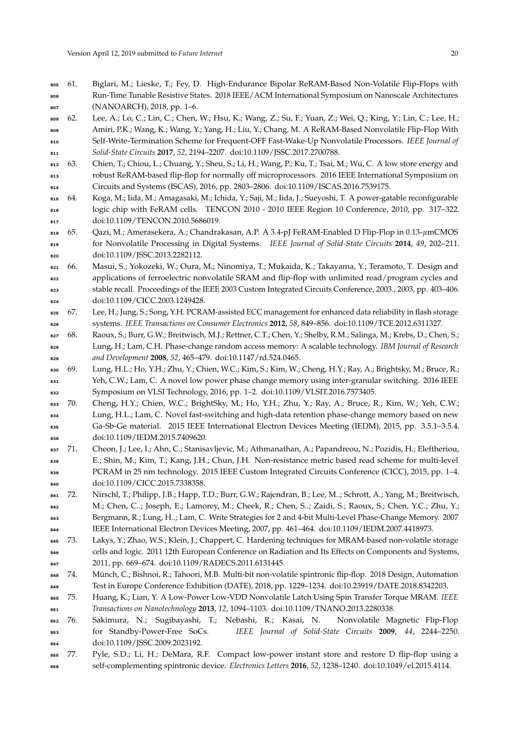- 61. Biglari, M.; Lieske, T.; Fey, D. High-Endurance Bipolar ReRAM-Based Non-Volatile Flip-Flops with Run-Time Tunable Resistive States. 2018 IEEE/ACM International Symposium on Nanoscale Architectures (NANOARCH), 2018, pp. 1–6.
- 62. Lee, A.; Lo, C.; Lin, C.; Chen, W.; Hsu, K.; Wang, Z.; Su, F.; Yuan, Z.; Wei, Q.; King, Y.; Lin, C.; Lee, H.; 809 Amiri, P.K.; Wang, K.; Wang, Y.; Yang, H.; Liu, Y.; Chang, M. A ReRAM-Based Nonvolatile Flip-Flop With Self-Write-Termination Scheme for Frequent-OFF Fast-Wake-Up Nonvolatile Processors. *IEEE Journal of Solid-State Circuits* **2017**, *52*, 2194–2207. doi[:10.1109/JSSC.2017.2700788.](https://doi.org/10.1109/JSSC.2017.2700788)
- 812 63. Chien, T.; Chiou, L.; Chuang, Y.; Sheu, S.; Li, H.; Wang, P.; Ku, T.; Tsai, M.; Wu, C. A low store energy and robust ReRAM-based flip-flop for normally off microprocessors. 2016 IEEE International Symposium on Circuits and Systems (ISCAS), 2016, pp. 2803–2806. doi[:10.1109/ISCAS.2016.7539175.](https://doi.org/10.1109/ISCAS.2016.7539175)
- 64. Koga, M.; Iida, M.; Amagasaki, M.; Ichida, Y.; Saji, M.; Iida, J.; Sueyoshi, T. A power-gatable reconfigurable logic chip with FeRAM cells. TENCON 2010 - 2010 IEEE Region 10 Conference, 2010, pp. 317–322. doi[:10.1109/TENCON.2010.5686019.](https://doi.org/10.1109/TENCON.2010.5686019)
- 65. Qazi, M.; Amerasekera, A.; Chandrakasan, A.P. A 3.4-pJ FeRAM-Enabled D Flip-Flop in 0.13-*µ*mCMOS for Nonvolatile Processing in Digital Systems. *IEEE Journal of Solid-State Circuits* **2014**, *49*, 202–211. doi[:10.1109/JSSC.2013.2282112.](https://doi.org/10.1109/JSSC.2013.2282112)
- 66. Masui, S.; Yokozeki, W.; Oura, M.; Ninomiya, T.; Mukaida, K.; Takayama, Y.; Teramoto, T. Design and applications of ferroelectric nonvolatile SRAM and flip-flop with unlimited read/program cycles and stable recall. Proceedings of the IEEE 2003 Custom Integrated Circuits Conference, 2003., 2003, pp. 403–406. doi[:10.1109/CICC.2003.1249428.](https://doi.org/10.1109/CICC.2003.1249428)
- 825 67. Lee, H.; Jung, S.; Song, Y.H. PCRAM-assisted ECC management for enhanced data reliability in flash storage systems. *IEEE Transactions on Consumer Electronics* **2012**, *58*, 849–856. doi[:10.1109/TCE.2012.6311327.](https://doi.org/10.1109/TCE.2012.6311327)
- 827 68. Raoux, S.; Burr, G.W.; Breitwisch, M.J.; Rettner, C.T.; Chen, Y.; Shelby, R.M.; Salinga, M.; Krebs, D.; Chen, S.; Lung, H.; Lam, C.H. Phase-change random access memory: A scalable technology. *IBM Journal of Research and Development* **2008**, *52*, 465–479. doi[:10.1147/rd.524.0465.](https://doi.org/10.1147/rd.524.0465)
- 69. Lung, H.L.; Ho, Y.H.; Zhu, Y.; Chien, W.C.; Kim, S.; Kim, W.; Cheng, H.Y.; Ray, A.; Brightsky, M.; Bruce, R.; Yeh, C.W.; Lam, C. A novel low power phase change memory using inter-granular switching. 2016 IEEE Symposium on VLSI Technology, 2016, pp. 1–2. doi[:10.1109/VLSIT.2016.7573405.](https://doi.org/10.1109/VLSIT.2016.7573405)
- 833 70. Cheng, H.Y.; Chien, W.C.; BrightSky, M.; Ho, Y.H.; Zhu, Y.; Ray, A.; Bruce, R.; Kim, W.; Yeh, C.W.; Lung, H.L.; Lam, C. Novel fast-switching and high-data retention phase-change memory based on new 835 Ga-Sb-Ge material. 2015 IEEE International Electron Devices Meeting (IEDM), 2015, pp. 3.5.1–3.5.4. doi[:10.1109/IEDM.2015.7409620.](https://doi.org/10.1109/IEDM.2015.7409620)
- 837 71. Cheon, J.; Lee, I.; Ahn, C.; Stanisavljevic, M.; Athmanathan, A.; Papandreou, N.; Pozidis, H.; Eleftheriou, E.; Shin, M.; Kim, T.; Kang, J.H.; Chun, J.H. Non-resistance metric based read scheme for multi-level 839 PCRAM in 25 nm technology. 2015 IEEE Custom Integrated Circuits Conference (CICC), 2015, pp. 1-4. doi[:10.1109/CICC.2015.7338358.](https://doi.org/10.1109/CICC.2015.7338358)
- 72. Nirschl, T.; Philipp, J.B.; Happ, T.D.; Burr, G.W.; Rajendran, B.; Lee, M..; Schrott, A.; Yang, M.; Breitwisch, 842 M.; Chen, C..; Joseph, E.; Lamorey, M.; Cheek, R.; Chen, S..; Zaidi, S.; Raoux, S.; Chen, Y.C.; Zhu, Y.; Bergmann, R.; Lung, H..; Lam, C. Write Strategies for 2 and 4-bit Multi-Level Phase-Change Memory. 2007 IEEE International Electron Devices Meeting, 2007, pp. 461–464. doi[:10.1109/IEDM.2007.4418973.](https://doi.org/10.1109/IEDM.2007.4418973)
- 73. Lakys, Y.; Zhao, W.S.; Klein, J.; Chappert, C. Hardening techniques for MRAM-based non-volatile storage

cells and logic. 2011 12th European Conference on Radiation and Its Effects on Components and Systems, 2011, pp. 669–674. doi[:10.1109/RADECS.2011.6131445.](https://doi.org/10.1109/RADECS.2011.6131445)

- 74. Münch, C.; Bishnoi, R.; Tahoori, M.B. Multi-bit non-volatile spintronic flip-flop. 2018 Design, Automation Test in Europe Conference Exhibition (DATE), 2018, pp. 1229–1234. doi[:10.23919/DATE.2018.8342203.](https://doi.org/10.23919/DATE.2018.8342203)
- 75. Huang, K.; Lian, Y. A Low-Power Low-VDD Nonvolatile Latch Using Spin Transfer Torque MRAM. *IEEE Transactions on Nanotechnology* **2013**, *12*, 1094–1103. doi[:10.1109/TNANO.2013.2280338.](https://doi.org/10.1109/TNANO.2013.2280338)

 76. Sakimura, N.; Sugibayashi, T.; Nebashi, R.; Kasai, N. Nonvolatile Magnetic Flip-Flop for Standby-Power-Free SoCs. *IEEE Journal of Solid-State Circuits* **2009**, *44*, 2244–2250. doi[:10.1109/JSSC.2009.2023192.](https://doi.org/10.1109/JSSC.2009.2023192)

 77. Pyle, S.D.; Li, H.; DeMara, R.F. Compact low-power instant store and restore D flip-flop using a self-complementing spintronic device. *Electronics Letters* **2016**, *52*, 1238–1240. doi[:10.1049/el.2015.4114.](https://doi.org/10.1049/el.2015.4114)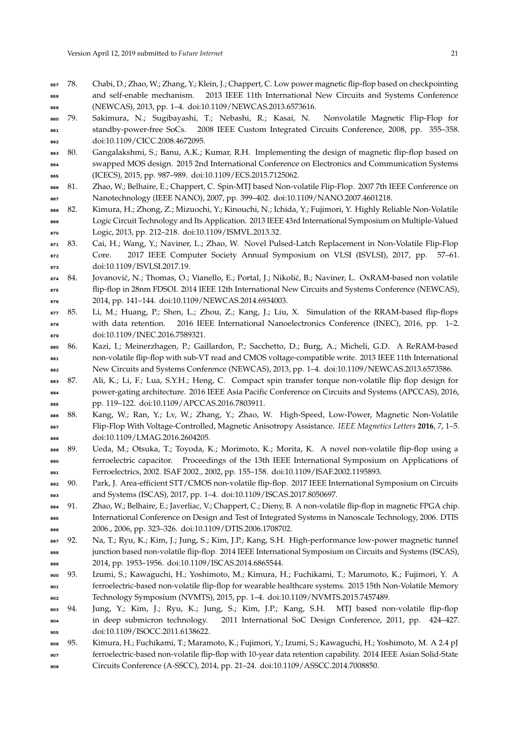- 78. Chabi, D.; Zhao, W.; Zhang, Y.; Klein, J.; Chappert, C. Low power magnetic flip-flop based on checkpointing and self-enable mechanism. 2013 IEEE 11th International New Circuits and Systems Conference (NEWCAS), 2013, pp. 1–4. doi[:10.1109/NEWCAS.2013.6573616.](https://doi.org/10.1109/NEWCAS.2013.6573616)
- 79. Sakimura, N.; Sugibayashi, T.; Nebashi, R.; Kasai, N. Nonvolatile Magnetic Flip-Flop for standby-power-free SoCs. 2008 IEEE Custom Integrated Circuits Conference, 2008, pp. 355–358. doi[:10.1109/CICC.2008.4672095.](https://doi.org/10.1109/CICC.2008.4672095)
- 80. Gangalakshmi, S.; Banu, A.K.; Kumar, R.H. Implementing the design of magnetic flip-flop based on swapped MOS design. 2015 2nd International Conference on Electronics and Communication Systems (ICECS), 2015, pp. 987–989. doi[:10.1109/ECS.2015.7125062.](https://doi.org/10.1109/ECS.2015.7125062)
- 81. Zhao, W.; Belhaire, E.; Chappert, C. Spin-MTJ based Non-volatile Flip-Flop. 2007 7th IEEE Conference on Nanotechnology (IEEE NANO), 2007, pp. 399–402. doi[:10.1109/NANO.2007.4601218.](https://doi.org/10.1109/NANO.2007.4601218)
- 82. Kimura, H.; Zhong, Z.; Mizuochi, Y.; Kinouchi, N.; Ichida, Y.; Fujimori, Y. Highly Reliable Non-Volatile Logic Circuit Technology and Its Application. 2013 IEEE 43rd International Symposium on Multiple-Valued Logic, 2013, pp. 212-218. doi[:10.1109/ISMVL.2013.32.](https://doi.org/10.1109/ISMVL.2013.32)
- 83. Cai, H.; Wang, Y.; Naviner, L.; Zhao, W. Novel Pulsed-Latch Replacement in Non-Volatile Flip-Flop 872 Core. 2017 IEEE Computer Society Annual Symposium on VLSI (ISVLSI), 2017, pp. 57-61. doi[:10.1109/ISVLSI.2017.19.](https://doi.org/10.1109/ISVLSI.2017.19)
- 874 84. Jovanović, N.; Thomas, O.; Vianello, E.; Portal, J.; Nikolić, B.; Naviner, L. OxRAM-based non volatile flip-flop in 28nm FDSOI. 2014 IEEE 12th International New Circuits and Systems Conference (NEWCAS), 2014, pp. 141–144. doi[:10.1109/NEWCAS.2014.6934003.](https://doi.org/10.1109/NEWCAS.2014.6934003)
- 877 85. Li, M.; Huang, P.; Shen, L.; Zhou, Z.; Kang, J.; Liu, X. Simulation of the RRAM-based flip-flops 878 with data retention. 2016 IEEE International Nanoelectronics Conference (INEC), 2016, pp. 1-2. doi[:10.1109/INEC.2016.7589321.](https://doi.org/10.1109/INEC.2016.7589321)
- 86. Kazi, I.; Meinerzhagen, P.; Gaillardon, P.; Sacchetto, D.; Burg, A.; Micheli, G.D. A ReRAM-based non-volatile flip-flop with sub-VT read and CMOS voltage-compatible write. 2013 IEEE 11th International New Circuits and Systems Conference (NEWCAS), 2013, pp. 1–4. doi[:10.1109/NEWCAS.2013.6573586.](https://doi.org/10.1109/NEWCAS.2013.6573586)
- 883 87. Ali, K.; Li, F.; Lua, S.Y.H.; Heng, C. Compact spin transfer torque non-volatile flip flop design for power-gating architecture. 2016 IEEE Asia Pacific Conference on Circuits and Systems (APCCAS), 2016, pp. 119–122. doi[:10.1109/APCCAS.2016.7803911.](https://doi.org/10.1109/APCCAS.2016.7803911)
- 886 88. Kang, W.; Ran, Y.; Lv, W.; Zhang, Y.; Zhao, W. High-Speed, Low-Power, Magnetic Non-Volatile Flip-Flop With Voltage-Controlled, Magnetic Anisotropy Assistance. *IEEE Magnetics Letters* **2016**, *7*, 1–5. doi[:10.1109/LMAG.2016.2604205.](https://doi.org/10.1109/LMAG.2016.2604205)
- 889 89. Ueda, M.; Otsuka, T.; Toyoda, K.; Morimoto, K.; Morita, K. A novel non-volatile flip-flop using a ferroelectric capacitor. Proceedings of the 13th IEEE International Symposium on Applications of Ferroelectrics, 2002. ISAF 2002., 2002, pp. 155–158. doi[:10.1109/ISAF.2002.1195893.](https://doi.org/10.1109/ISAF.2002.1195893)
- 90. Park, J. Area-efficient STT/CMOS non-volatile flip-flop. 2017 IEEE International Symposium on Circuits and Systems (ISCAS), 2017, pp. 1–4. doi[:10.1109/ISCAS.2017.8050697.](https://doi.org/10.1109/ISCAS.2017.8050697)
- 894 91. Zhao, W.; Belhaire, E.; Javerliac, V.; Chappert, C.; Dieny, B. A non-volatile flip-flop in magnetic FPGA chip. International Conference on Design and Test of Integrated Systems in Nanoscale Technology, 2006. DTIS 2006., 2006, pp. 323–326. doi[:10.1109/DTIS.2006.1708702.](https://doi.org/10.1109/DTIS.2006.1708702)
- 92. Na, T.; Ryu, K.; Kim, J.; Jung, S.; Kim, J.P.; Kang, S.H. High-performance low-power magnetic tunnel junction based non-volatile flip-flop. 2014 IEEE International Symposium on Circuits and Systems (ISCAS), 2014, pp. 1953–1956. doi[:10.1109/ISCAS.2014.6865544.](https://doi.org/10.1109/ISCAS.2014.6865544)
- 93. Izumi, S.; Kawaguchi, H.; Yoshimoto, M.; Kimura, H.; Fuchikami, T.; Marumoto, K.; Fujimori, Y. A ferroelectric-based non-volatile flip-flop for wearable healthcare systems. 2015 15th Non-Volatile Memory Technology Symposium (NVMTS), 2015, pp. 1–4. doi[:10.1109/NVMTS.2015.7457489.](https://doi.org/10.1109/NVMTS.2015.7457489)
- 94. Jung, Y.; Kim, J.; Ryu, K.; Jung, S.; Kim, J.P.; Kang, S.H. MTJ based non-volatile flip-flop in deep submicron technology. 2011 International SoC Design Conference, 2011, pp. 424–427. doi[:10.1109/ISOCC.2011.6138622.](https://doi.org/10.1109/ISOCC.2011.6138622)
- 95. Kimura, H.; Fuchikami, T.; Maramoto, K.; Fujimori, Y.; Izumi, S.; Kawaguchi, H.; Yoshimoto, M. A 2.4 pJ ferroelectric-based non-volatile flip-flop with 10-year data retention capability. 2014 IEEE Asian Solid-State Circuits Conference (A-SSCC), 2014, pp. 21–24. doi[:10.1109/ASSCC.2014.7008850.](https://doi.org/10.1109/ASSCC.2014.7008850)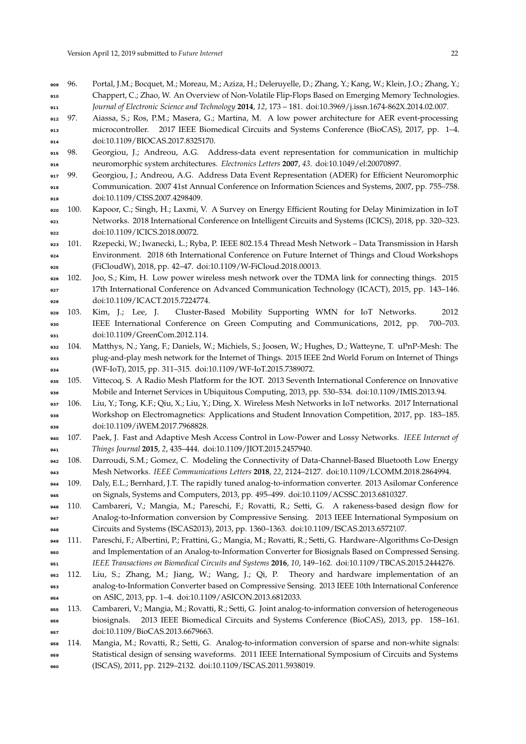- 96. Portal, J.M.; Bocquet, M.; Moreau, M.; Aziza, H.; Deleruyelle, D.; Zhang, Y.; Kang, W.; Klein, J.O.; Zhang, Y.; Chappert, C.; Zhao, W. An Overview of Non-Volatile Flip-Flops Based on Emerging Memory Technologies.
- *Journal of Electronic Science and Technology* **2014**, *12*, 173 181. doi[:10.3969/j.issn.1674-862X.2014.02.007.](https://doi.org/10.3969/j.issn.1674-862X.2014.02.007)
- 97. Aiassa, S.; Ros, P.M.; Masera, G.; Martina, M. A low power architecture for AER event-processing 913 microcontroller. 2017 IEEE Biomedical Circuits and Systems Conference (BioCAS), 2017, pp. 1–4. doi[:10.1109/BIOCAS.2017.8325170.](https://doi.org/10.1109/BIOCAS.2017.8325170)
- 98. Georgiou, J.; Andreou, A.G. Address-data event representation for communication in multichip neuromorphic system architectures. *Electronics Letters* **2007**, *43*. doi[:10.1049/el:20070897.](https://doi.org/10.1049/el:20070897)
- 99. Georgiou, J.; Andreou, A.G. Address Data Event Representation (ADER) for Efficient Neuromorphic Communication. 2007 41st Annual Conference on Information Sciences and Systems, 2007, pp. 755–758. doi[:10.1109/CISS.2007.4298409.](https://doi.org/10.1109/CISS.2007.4298409)
- 100. Kapoor, C.; Singh, H.; Laxmi, V. A Survey on Energy Efficient Routing for Delay Minimization in IoT Networks. 2018 International Conference on Intelligent Circuits and Systems (ICICS), 2018, pp. 320–323. doi[:10.1109/ICICS.2018.00072.](https://doi.org/10.1109/ICICS.2018.00072)
- 101. Rzepecki, W.; Iwanecki, L.; Ryba, P. IEEE 802.15.4 Thread Mesh Network Data Transmission in Harsh Environment. 2018 6th International Conference on Future Internet of Things and Cloud Workshops (FiCloudW), 2018, pp. 42–47. doi[:10.1109/W-FiCloud.2018.00013.](https://doi.org/10.1109/W-FiCloud.2018.00013)
- 102. Joo, S.; Kim, H. Low power wireless mesh network over the TDMA link for connecting things. 2015 17th International Conference on Advanced Communication Technology (ICACT), 2015, pp. 143–146. doi[:10.1109/ICACT.2015.7224774.](https://doi.org/10.1109/ICACT.2015.7224774)
- 103. Kim, J.; Lee, J. Cluster-Based Mobility Supporting WMN for IoT Networks. 2012 IEEE International Conference on Green Computing and Communications, 2012, pp. 700–703. doi[:10.1109/GreenCom.2012.114.](https://doi.org/10.1109/GreenCom.2012.114)
- 104. Matthys, N.; Yang, F.; Daniels, W.; Michiels, S.; Joosen, W.; Hughes, D.; Watteyne, T. uPnP-Mesh: The plug-and-play mesh network for the Internet of Things. 2015 IEEE 2nd World Forum on Internet of Things (WF-IoT), 2015, pp. 311–315. doi[:10.1109/WF-IoT.2015.7389072.](https://doi.org/10.1109/WF-IoT.2015.7389072)
- 935 105. Vittecoq, S. A Radio Mesh Platform for the IOT. 2013 Seventh International Conference on Innovative Mobile and Internet Services in Ubiquitous Computing, 2013, pp. 530–534. doi[:10.1109/IMIS.2013.94.](https://doi.org/10.1109/IMIS.2013.94)
- 106. Liu, Y.; Tong, K.F.; Qiu, X.; Liu, Y.; Ding, X. Wireless Mesh Networks in IoT networks. 2017 International
- Workshop on Electromagnetics: Applications and Student Innovation Competition, 2017, pp. 183–185. doi[:10.1109/iWEM.2017.7968828.](https://doi.org/10.1109/iWEM.2017.7968828)
- 107. Paek, J. Fast and Adaptive Mesh Access Control in Low-Power and Lossy Networks. *IEEE Internet of Things Journal* **2015**, *2*, 435–444. doi[:10.1109/JIOT.2015.2457940.](https://doi.org/10.1109/JIOT.2015.2457940)
- 942 108. Darroudi, S.M.; Gomez, C. Modeling the Connectivity of Data-Channel-Based Bluetooth Low Energy Mesh Networks. *IEEE Communications Letters* **2018**, *22*, 2124–2127. doi[:10.1109/LCOMM.2018.2864994.](https://doi.org/10.1109/LCOMM.2018.2864994)
- 109. Daly, E.L.; Bernhard, J.T. The rapidly tuned analog-to-information converter. 2013 Asilomar Conference on Signals, Systems and Computers, 2013, pp. 495–499. doi[:10.1109/ACSSC.2013.6810327.](https://doi.org/10.1109/ACSSC.2013.6810327)
- 110. Cambareri, V.; Mangia, M.; Pareschi, F.; Rovatti, R.; Setti, G. A rakeness-based design flow for Analog-to-Information conversion by Compressive Sensing. 2013 IEEE International Symposium on Circuits and Systems (ISCAS2013), 2013, pp. 1360–1363. doi[:10.1109/ISCAS.2013.6572107.](https://doi.org/10.1109/ISCAS.2013.6572107)
- 111. Pareschi, F.; Albertini, P.; Frattini, G.; Mangia, M.; Rovatti, R.; Setti, G. Hardware-Algorithms Co-Design and Implementation of an Analog-to-Information Converter for Biosignals Based on Compressed Sensing. *IEEE Transactions on Biomedical Circuits and Systems* **2016**, *10*, 149–162. doi[:10.1109/TBCAS.2015.2444276.](https://doi.org/10.1109/TBCAS.2015.2444276)
- 112. Liu, S.; Zhang, M.; Jiang, W.; Wang, J.; Qi, P. Theory and hardware implementation of an analog-to-Information Converter based on Compressive Sensing. 2013 IEEE 10th International Conference on ASIC, 2013, pp. 1–4. doi[:10.1109/ASICON.2013.6812033.](https://doi.org/10.1109/ASICON.2013.6812033)
- 113. Cambareri, V.; Mangia, M.; Rovatti, R.; Setti, G. Joint analog-to-information conversion of heterogeneous biosignals. 2013 IEEE Biomedical Circuits and Systems Conference (BioCAS), 2013, pp. 158–161. doi[:10.1109/BioCAS.2013.6679663.](https://doi.org/10.1109/BioCAS.2013.6679663)
- 114. Mangia, M.; Rovatti, R.; Setti, G. Analog-to-information conversion of sparse and non-white signals: Statistical design of sensing waveforms. 2011 IEEE International Symposium of Circuits and Systems (ISCAS), 2011, pp. 2129–2132. doi[:10.1109/ISCAS.2011.5938019.](https://doi.org/10.1109/ISCAS.2011.5938019)